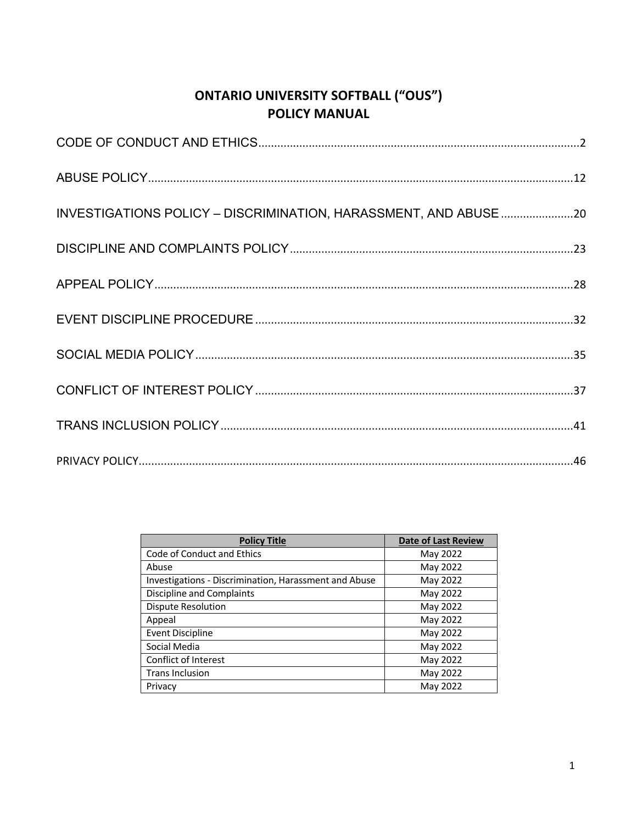# **ONTARIO UNIVERSITY SOFTBALL ("OUS") POLICY MANUAL**

| INVESTIGATIONS POLICY - DISCRIMINATION, HARASSMENT, AND ABUSE 20 |
|------------------------------------------------------------------|
|                                                                  |
|                                                                  |
|                                                                  |
|                                                                  |
|                                                                  |
|                                                                  |
|                                                                  |

| <b>Policy Title</b>                                          | <b>Date of Last Review</b> |
|--------------------------------------------------------------|----------------------------|
| Code of Conduct and Ethics                                   | May 2022                   |
| Abuse                                                        | May 2022                   |
| <b>Investigations - Discrimination, Harassment and Abuse</b> | May 2022                   |
| <b>Discipline and Complaints</b>                             | May 2022                   |
| Dispute Resolution                                           | May 2022                   |
| Appeal                                                       | May 2022                   |
| <b>Event Discipline</b>                                      | May 2022                   |
| Social Media                                                 | May 2022                   |
| Conflict of Interest                                         | May 2022                   |
| <b>Trans Inclusion</b>                                       | May 2022                   |
| Privacy                                                      | May 2022                   |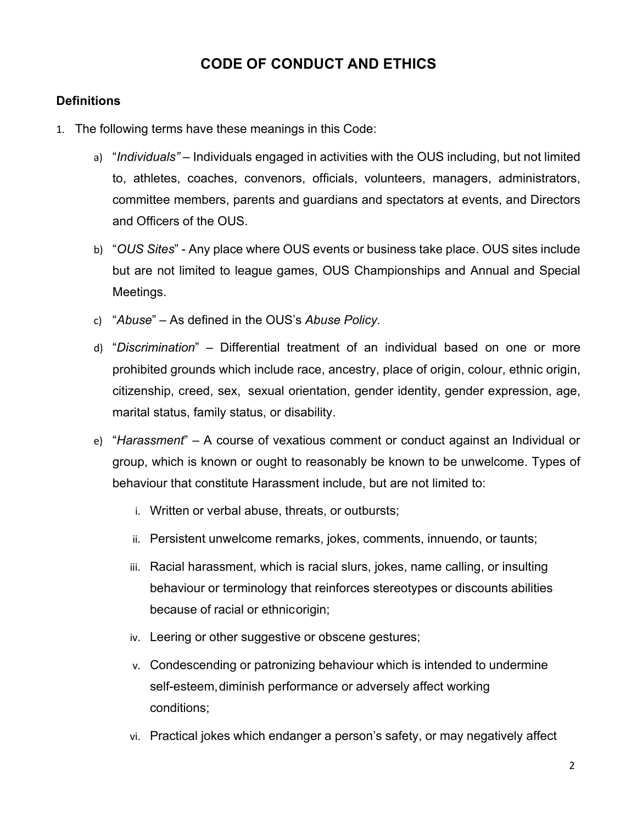# **CODE OF CONDUCT AND ETHICS**

# **Definitions**

- 1. The following terms have these meanings in this Code:
	- a) "*Individuals"*  Individuals engaged in activities with the OUS including, but not limited to, athletes, coaches, convenors, officials, volunteers, managers, administrators, committee members, parents and guardians and spectators at events, and Directors and Officers of the OUS.
	- b) "*OUS Sites*" Any place where OUS events or business take place. OUS sites include but are not limited to league games, OUS Championships and Annual and Special Meetings.
	- c) "*Abuse*" As defined in the OUS's *Abuse Policy.*
	- d) "*Discrimination*" Differential treatment of an individual based on one or more prohibited grounds which include race, ancestry, place of origin, colour, ethnic origin, citizenship, creed, sex, sexual orientation, gender identity, gender expression, age, marital status, family status, or disability.
	- e) "*Harassment*" A course of vexatious comment or conduct against an Individual or group, which is known or ought to reasonably be known to be unwelcome. Types of behaviour that constitute Harassment include, but are not limited to:
		- i. Written or verbal abuse, threats, or outbursts;
		- ii. Persistent unwelcome remarks, jokes, comments, innuendo, or taunts;
		- iii. Racial harassment, which is racial slurs, jokes, name calling, or insulting behaviour or terminology that reinforces stereotypes or discounts abilities because of racial or ethnicorigin;
		- iv. Leering or other suggestive or obscene gestures;
		- v. Condescending or patronizing behaviour which is intended to undermine self-esteem, diminish performance or adversely affect working conditions;
		- vi. Practical jokes which endanger a person's safety, or may negatively affect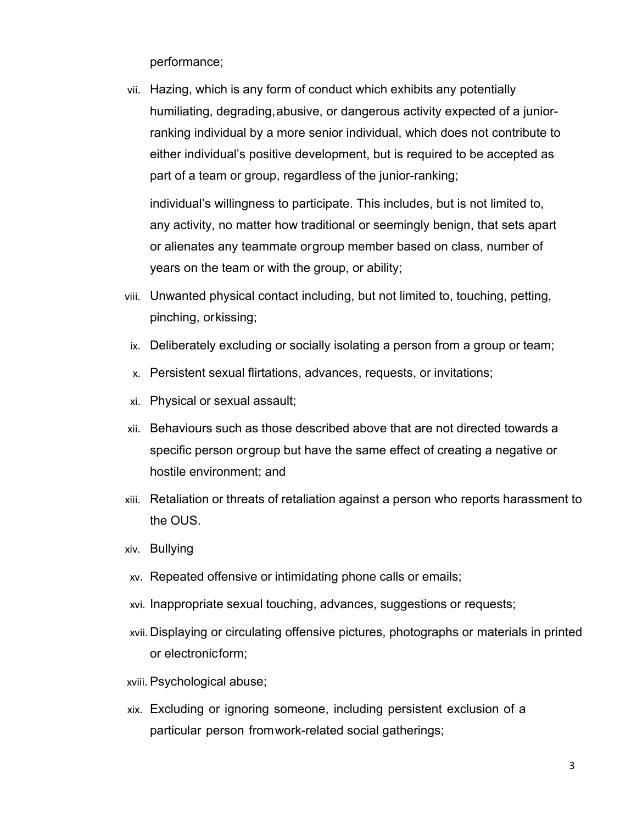performance;

vii. Hazing, which is any form of conduct which exhibits any potentially humiliating, degrading,abusive, or dangerous activity expected of a juniorranking individual by a more senior individual, which does not contribute to either individual's positive development, but is required to be accepted as part of a team or group, regardless of the junior-ranking;

individual's willingness to participate. This includes, but is not limited to, any activity, no matter how traditional or seemingly benign, that sets apart or alienates any teammate orgroup member based on class, number of years on the team or with the group, or ability;

- viii. Unwanted physical contact including, but not limited to, touching, petting, pinching, orkissing;
- ix. Deliberately excluding or socially isolating a person from a group or team;
- x. Persistent sexual flirtations, advances, requests, or invitations;
- xi. Physical or sexual assault;
- xii. Behaviours such as those described above that are not directed towards a specific person orgroup but have the same effect of creating a negative or hostile environment; and
- xiii. Retaliation or threats of retaliation against a person who reports harassment to the OUS.
- xiv. Bullying
- xv. Repeated offensive or intimidating phone calls or emails;
- xvi. Inappropriate sexual touching, advances, suggestions or requests;
- xvii. Displaying or circulating offensive pictures, photographs or materials in printed or electronicform;
- xviii. Psychological abuse;
- xix. Excluding or ignoring someone, including persistent exclusion of a particular person fromwork-related social gatherings;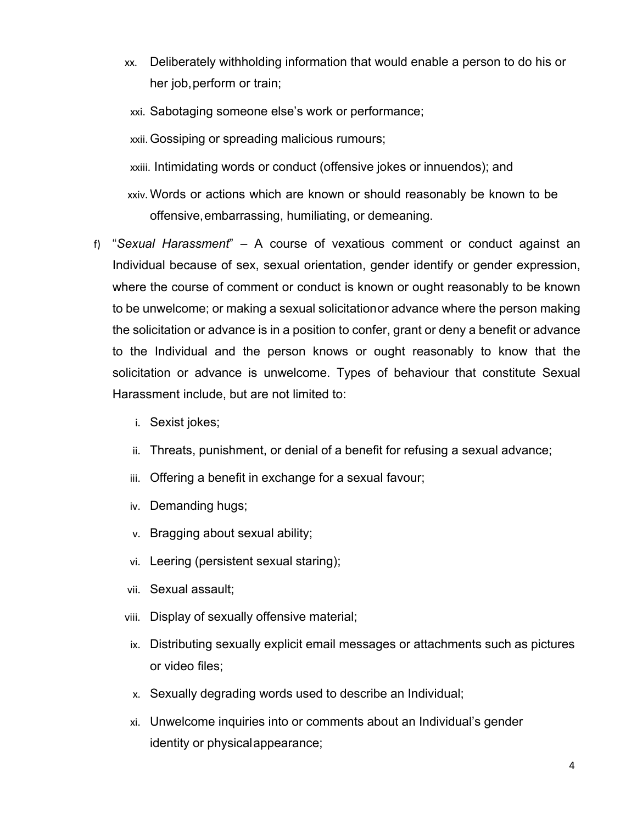- xx. Deliberately withholding information that would enable a person to do his or her job, perform or train;
- xxi. Sabotaging someone else's work or performance;

xxii.Gossiping or spreading malicious rumours;

xxiii. Intimidating words or conduct (offensive jokes or innuendos); and

- xxiv. Words or actions which are known or should reasonably be known to be offensive,embarrassing, humiliating, or demeaning.
- f) "*Sexual Harassment*" A course of vexatious comment or conduct against an Individual because of sex, sexual orientation, gender identify or gender expression, where the course of comment or conduct is known or ought reasonably to be known to be unwelcome; or making a sexual solicitationor advance where the person making the solicitation or advance is in a position to confer, grant or deny a benefit or advance to the Individual and the person knows or ought reasonably to know that the solicitation or advance is unwelcome. Types of behaviour that constitute Sexual Harassment include, but are not limited to:
	- i. Sexist jokes;
	- ii. Threats, punishment, or denial of a benefit for refusing a sexual advance;
	- iii. Offering a benefit in exchange for a sexual favour;
	- iv. Demanding hugs;
	- v. Bragging about sexual ability;
	- vi. Leering (persistent sexual staring);
	- vii. Sexual assault;
	- viii. Display of sexually offensive material;
	- ix. Distributing sexually explicit email messages or attachments such as pictures or video files;
	- x. Sexually degrading words used to describe an Individual;
	- xi. Unwelcome inquiries into or comments about an Individual's gender identity or physicalappearance;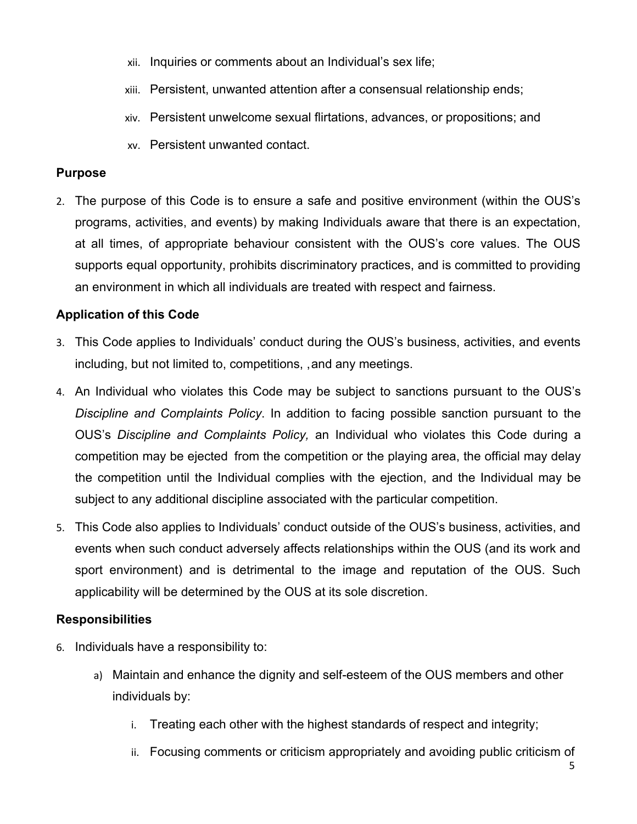- xii. Inquiries or comments about an Individual's sex life;
- xiii. Persistent, unwanted attention after a consensual relationship ends;
- xiv. Persistent unwelcome sexual flirtations, advances, or propositions; and
- xv. Persistent unwanted contact.

### **Purpose**

2. The purpose of this Code is to ensure a safe and positive environment (within the OUS's programs, activities, and events) by making Individuals aware that there is an expectation, at all times, of appropriate behaviour consistent with the OUS's core values. The OUS supports equal opportunity, prohibits discriminatory practices, and is committed to providing an environment in which all individuals are treated with respect and fairness.

# **Application of this Code**

- 3. This Code applies to Individuals' conduct during the OUS's business, activities, and events including, but not limited to, competitions, ,and any meetings.
- 4. An Individual who violates this Code may be subject to sanctions pursuant to the OUS's *Discipline and Complaints Policy*. In addition to facing possible sanction pursuant to the OUS's *Discipline and Complaints Policy,* an Individual who violates this Code during a competition may be ejected from the competition or the playing area, the official may delay the competition until the Individual complies with the ejection, and the Individual may be subject to any additional discipline associated with the particular competition.
- 5. This Code also applies to Individuals' conduct outside of the OUS's business, activities, and events when such conduct adversely affects relationships within the OUS (and its work and sport environment) and is detrimental to the image and reputation of the OUS. Such applicability will be determined by the OUS at its sole discretion.

### **Responsibilities**

- 6. Individuals have a responsibility to:
	- a) Maintain and enhance the dignity and self-esteem of the OUS members and other individuals by:
		- i. Treating each other with the highest standards of respect and integrity;
		- ii. Focusing comments or criticism appropriately and avoiding public criticism of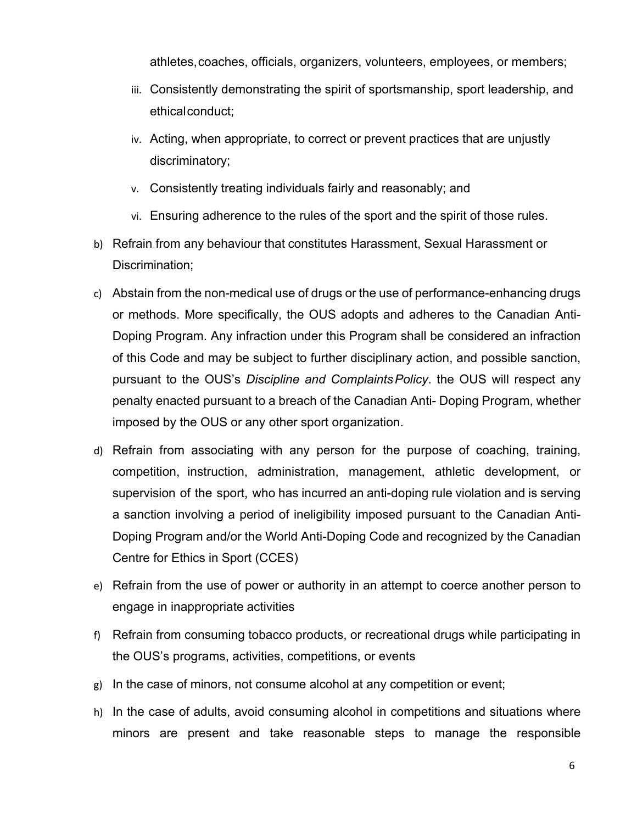athletes,coaches, officials, organizers, volunteers, employees, or members;

- iii. Consistently demonstrating the spirit of sportsmanship, sport leadership, and ethicalconduct;
- iv. Acting, when appropriate, to correct or prevent practices that are unjustly discriminatory;
- v. Consistently treating individuals fairly and reasonably; and
- vi. Ensuring adherence to the rules of the sport and the spirit of those rules.
- b) Refrain from any behaviour that constitutes Harassment, Sexual Harassment or Discrimination;
- c) Abstain from the non-medical use of drugs or the use of performance-enhancing drugs or methods. More specifically, the OUS adopts and adheres to the Canadian Anti-Doping Program. Any infraction under this Program shall be considered an infraction of this Code and may be subject to further disciplinary action, and possible sanction, pursuant to the OUS's *Discipline and ComplaintsPolicy*. the OUS will respect any penalty enacted pursuant to a breach of the Canadian Anti- Doping Program, whether imposed by the OUS or any other sport organization.
- d) Refrain from associating with any person for the purpose of coaching, training, competition, instruction, administration, management, athletic development, or supervision of the sport, who has incurred an anti-doping rule violation and is serving a sanction involving a period of ineligibility imposed pursuant to the Canadian Anti-Doping Program and/or the World Anti-Doping Code and recognized by the Canadian Centre for Ethics in Sport (CCES)
- e) Refrain from the use of power or authority in an attempt to coerce another person to engage in inappropriate activities
- f) Refrain from consuming tobacco products, or recreational drugs while participating in the OUS's programs, activities, competitions, or events
- g) In the case of minors, not consume alcohol at any competition or event;
- h) In the case of adults, avoid consuming alcohol in competitions and situations where minors are present and take reasonable steps to manage the responsible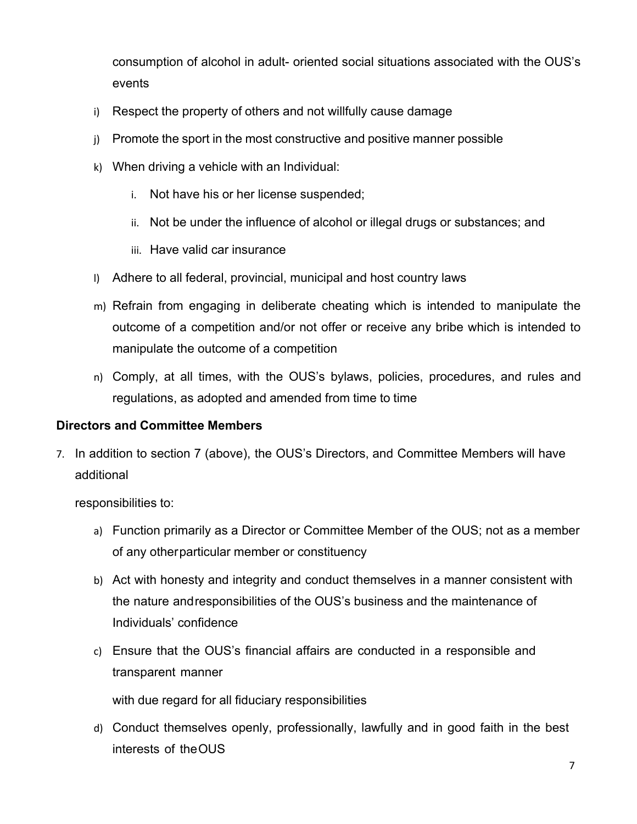consumption of alcohol in adult- oriented social situations associated with the OUS's events

- i) Respect the property of others and not willfully cause damage
- j) Promote the sport in the most constructive and positive manner possible
- k) When driving a vehicle with an Individual:
	- i. Not have his or her license suspended;
	- ii. Not be under the influence of alcohol or illegal drugs or substances; and
	- iii. Have valid car insurance
- l) Adhere to all federal, provincial, municipal and host country laws
- m) Refrain from engaging in deliberate cheating which is intended to manipulate the outcome of a competition and/or not offer or receive any bribe which is intended to manipulate the outcome of a competition
- n) Comply, at all times, with the OUS's bylaws, policies, procedures, and rules and regulations, as adopted and amended from time to time

### **Directors and Committee Members**

7. In addition to section 7 (above), the OUS's Directors, and Committee Members will have additional

responsibilities to:

- a) Function primarily as a Director or Committee Member of the OUS; not as a member of any otherparticular member or constituency
- b) Act with honesty and integrity and conduct themselves in a manner consistent with the nature andresponsibilities of the OUS's business and the maintenance of Individuals' confidence
- c) Ensure that the OUS's financial affairs are conducted in a responsible and transparent manner

with due regard for all fiduciary responsibilities

d) Conduct themselves openly, professionally, lawfully and in good faith in the best interests of theOUS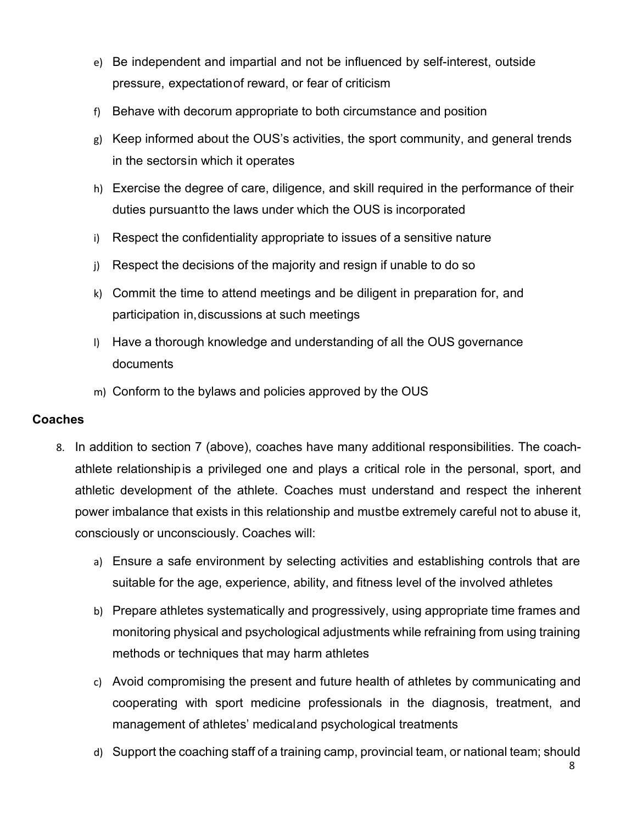- e) Be independent and impartial and not be influenced by self-interest, outside pressure, expectationof reward, or fear of criticism
- f) Behave with decorum appropriate to both circumstance and position
- g) Keep informed about the OUS's activities, the sport community, and general trends in the sectorsin which it operates
- h) Exercise the degree of care, diligence, and skill required in the performance of their duties pursuantto the laws under which the OUS is incorporated
- i) Respect the confidentiality appropriate to issues of a sensitive nature
- j) Respect the decisions of the majority and resign if unable to do so
- k) Commit the time to attend meetings and be diligent in preparation for, and participation in,discussions at such meetings
- l) Have a thorough knowledge and understanding of all the OUS governance documents
- m) Conform to the bylaws and policies approved by the OUS

# **Coaches**

- 8. In addition to section 7 (above), coaches have many additional responsibilities. The coachathlete relationshipis a privileged one and plays a critical role in the personal, sport, and athletic development of the athlete. Coaches must understand and respect the inherent power imbalance that exists in this relationship and mustbe extremely careful not to abuse it, consciously or unconsciously. Coaches will:
	- a) Ensure a safe environment by selecting activities and establishing controls that are suitable for the age, experience, ability, and fitness level of the involved athletes
	- b) Prepare athletes systematically and progressively, using appropriate time frames and monitoring physical and psychological adjustments while refraining from using training methods or techniques that may harm athletes
	- c) Avoid compromising the present and future health of athletes by communicating and cooperating with sport medicine professionals in the diagnosis, treatment, and management of athletes' medicaland psychological treatments
	- d) Support the coaching staff of a training camp, provincial team, or national team; should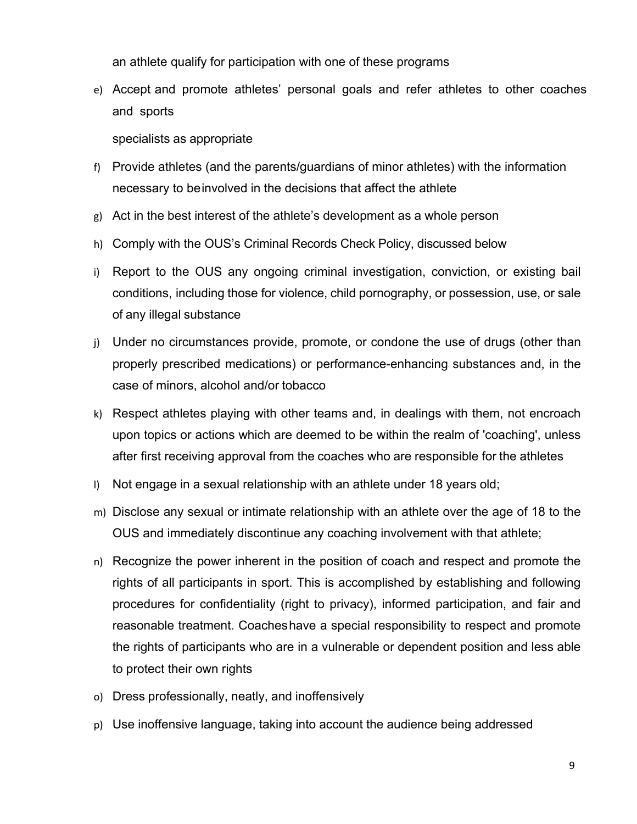an athlete qualify for participation with one of these programs

e) Accept and promote athletes' personal goals and refer athletes to other coaches and sports

specialists as appropriate

- f) Provide athletes (and the parents/guardians of minor athletes) with the information necessary to beinvolved in the decisions that affect the athlete
- g) Act in the best interest of the athlete's development as a whole person
- h) Comply with the OUS's Criminal Records Check Policy, discussed below
- i) Report to the OUS any ongoing criminal investigation, conviction, or existing bail conditions, including those for violence, child pornography, or possession, use, or sale of any illegal substance
- j) Under no circumstances provide, promote, or condone the use of drugs (other than properly prescribed medications) or performance-enhancing substances and, in the case of minors, alcohol and/or tobacco
- k) Respect athletes playing with other teams and, in dealings with them, not encroach upon topics or actions which are deemed to be within the realm of 'coaching', unless after first receiving approval from the coaches who are responsible for the athletes
- l) Not engage in a sexual relationship with an athlete under 18 years old;
- m) Disclose any sexual or intimate relationship with an athlete over the age of 18 to the OUS and immediately discontinue any coaching involvement with that athlete;
- n) Recognize the power inherent in the position of coach and respect and promote the rights of all participants in sport. This is accomplished by establishing and following procedures for confidentiality (right to privacy), informed participation, and fair and reasonable treatment. Coacheshave a special responsibility to respect and promote the rights of participants who are in a vulnerable or dependent position and less able to protect their own rights
- o) Dress professionally, neatly, and inoffensively
- p) Use inoffensive language, taking into account the audience being addressed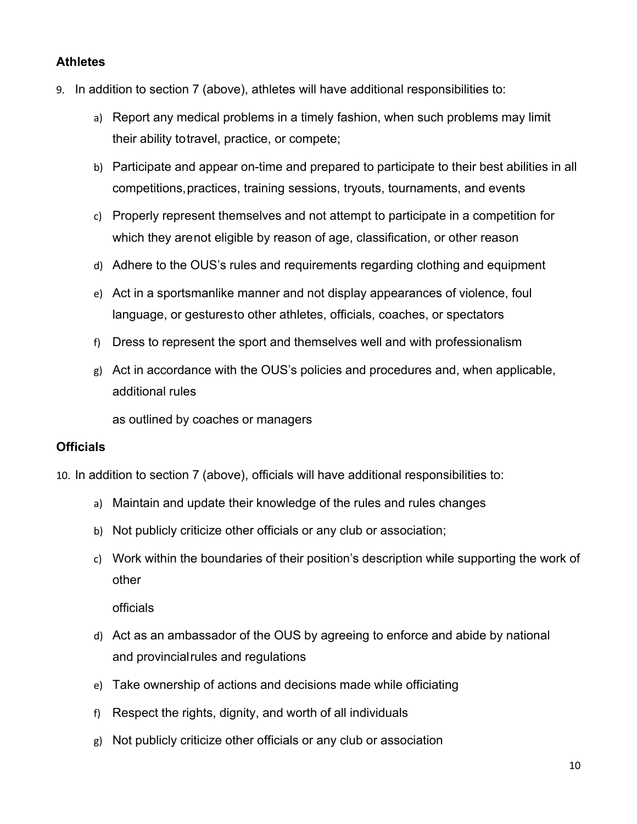# **Athletes**

- 9. In addition to section 7 (above), athletes will have additional responsibilities to:
	- a) Report any medical problems in a timely fashion, when such problems may limit their ability totravel, practice, or compete;
	- b) Participate and appear on-time and prepared to participate to their best abilities in all competitions,practices, training sessions, tryouts, tournaments, and events
	- c) Properly represent themselves and not attempt to participate in a competition for which they arenot eligible by reason of age, classification, or other reason
	- d) Adhere to the OUS's rules and requirements regarding clothing and equipment
	- e) Act in a sportsmanlike manner and not display appearances of violence, foul language, or gesturesto other athletes, officials, coaches, or spectators
	- f) Dress to represent the sport and themselves well and with professionalism
	- g) Act in accordance with the OUS's policies and procedures and, when applicable, additional rules

as outlined by coaches or managers

### **Officials**

10. In addition to section 7 (above), officials will have additional responsibilities to:

- a) Maintain and update their knowledge of the rules and rules changes
- b) Not publicly criticize other officials or any club or association;
- c) Work within the boundaries of their position's description while supporting the work of other

officials

- d) Act as an ambassador of the OUS by agreeing to enforce and abide by national and provincialrules and regulations
- e) Take ownership of actions and decisions made while officiating
- f) Respect the rights, dignity, and worth of all individuals
- g) Not publicly criticize other officials or any club or association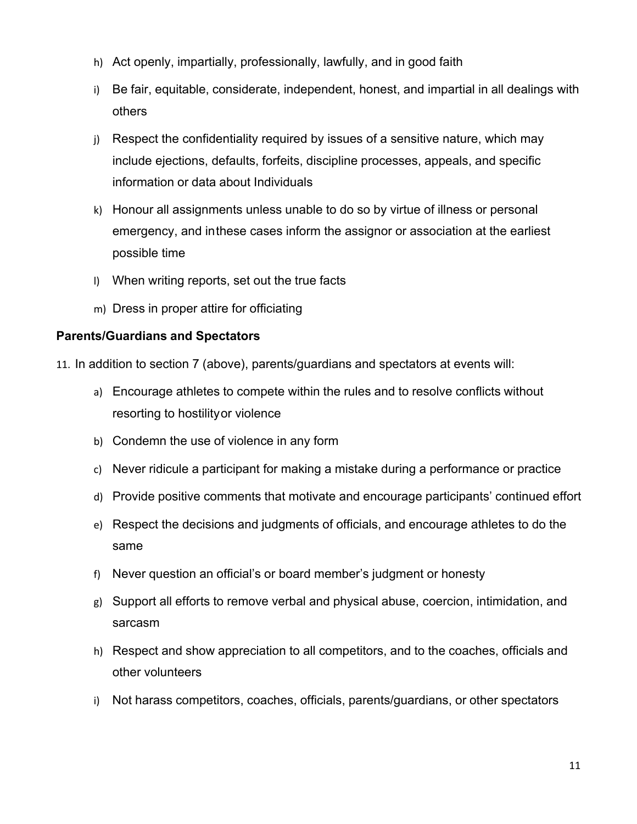- h) Act openly, impartially, professionally, lawfully, and in good faith
- i) Be fair, equitable, considerate, independent, honest, and impartial in all dealings with others
- j) Respect the confidentiality required by issues of a sensitive nature, which may include ejections, defaults, forfeits, discipline processes, appeals, and specific information or data about Individuals
- k) Honour all assignments unless unable to do so by virtue of illness or personal emergency, and inthese cases inform the assignor or association at the earliest possible time
- l) When writing reports, set out the true facts
- m) Dress in proper attire for officiating

### **Parents/Guardians and Spectators**

- 11. In addition to section 7 (above), parents/guardians and spectators at events will:
	- a) Encourage athletes to compete within the rules and to resolve conflicts without resorting to hostilityor violence
	- b) Condemn the use of violence in any form
	- c) Never ridicule a participant for making a mistake during a performance or practice
	- d) Provide positive comments that motivate and encourage participants' continued effort
	- e) Respect the decisions and judgments of officials, and encourage athletes to do the same
	- f) Never question an official's or board member's judgment or honesty
	- g) Support all efforts to remove verbal and physical abuse, coercion, intimidation, and sarcasm
	- h) Respect and show appreciation to all competitors, and to the coaches, officials and other volunteers
	- i) Not harass competitors, coaches, officials, parents/guardians, or other spectators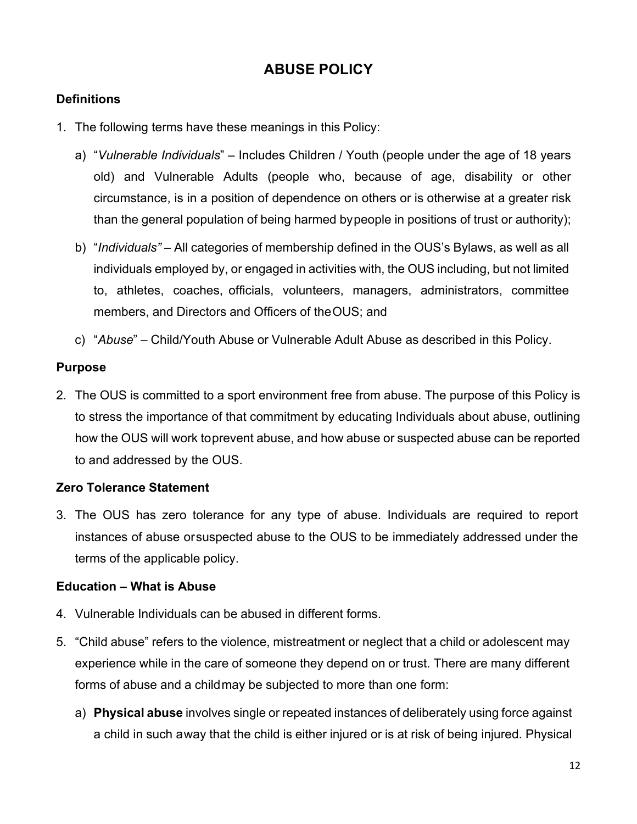# **ABUSE POLICY**

# **Definitions**

- 1. The following terms have these meanings in this Policy:
	- a) "*Vulnerable Individuals*" Includes Children / Youth (people under the age of 18 years old) and Vulnerable Adults (people who, because of age, disability or other circumstance, is in a position of dependence on others or is otherwise at a greater risk than the general population of being harmed bypeople in positions of trust or authority);
	- b) "*Individuals"*  All categories of membership defined in the OUS's Bylaws, as well as all individuals employed by, or engaged in activities with, the OUS including, but not limited to, athletes, coaches, officials, volunteers, managers, administrators, committee members, and Directors and Officers of theOUS; and
	- c) "*Abuse*" Child/Youth Abuse or Vulnerable Adult Abuse as described in this Policy.

# **Purpose**

2. The OUS is committed to a sport environment free from abuse. The purpose of this Policy is to stress the importance of that commitment by educating Individuals about abuse, outlining how the OUS will work toprevent abuse, and how abuse or suspected abuse can be reported to and addressed by the OUS.

# **Zero Tolerance Statement**

3. The OUS has zero tolerance for any type of abuse. Individuals are required to report instances of abuse orsuspected abuse to the OUS to be immediately addressed under the terms of the applicable policy.

### **Education – What is Abuse**

- 4. Vulnerable Individuals can be abused in different forms.
- 5. "Child abuse" refers to the violence, mistreatment or neglect that a child or adolescent may experience while in the care of someone they depend on or trust. There are many different forms of abuse and a childmay be subjected to more than one form:
	- a) **Physical abuse** involves single or repeated instances of deliberately using force against a child in such away that the child is either injured or is at risk of being injured. Physical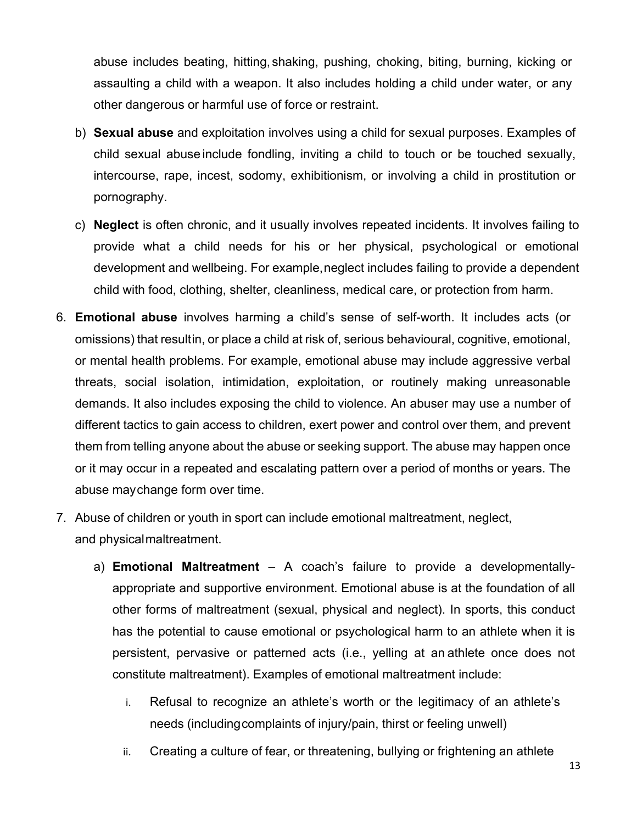abuse includes beating, hitting, shaking, pushing, choking, biting, burning, kicking or assaulting a child with a weapon. It also includes holding a child under water, or any other dangerous or harmful use of force or restraint.

- b) **Sexual abuse** and exploitation involves using a child for sexual purposes. Examples of child sexual abuse include fondling, inviting a child to touch or be touched sexually, intercourse, rape, incest, sodomy, exhibitionism, or involving a child in prostitution or pornography.
- c) **Neglect** is often chronic, and it usually involves repeated incidents. It involves failing to provide what a child needs for his or her physical, psychological or emotional development and wellbeing. For example,neglect includes failing to provide a dependent child with food, clothing, shelter, cleanliness, medical care, or protection from harm.
- 6. **Emotional abuse** involves harming a child's sense of self-worth. It includes acts (or omissions) that resultin, or place a child at risk of, serious behavioural, cognitive, emotional, or mental health problems. For example, emotional abuse may include aggressive verbal threats, social isolation, intimidation, exploitation, or routinely making unreasonable demands. It also includes exposing the child to violence. An abuser may use a number of different tactics to gain access to children, exert power and control over them, and prevent them from telling anyone about the abuse or seeking support. The abuse may happen once or it may occur in a repeated and escalating pattern over a period of months or years. The abuse maychange form over time.
- 7. Abuse of children or youth in sport can include emotional maltreatment, neglect, and physicalmaltreatment.
	- a) **Emotional Maltreatment**  A coach's failure to provide a developmentallyappropriate and supportive environment. Emotional abuse is at the foundation of all other forms of maltreatment (sexual, physical and neglect). In sports, this conduct has the potential to cause emotional or psychological harm to an athlete when it is persistent, pervasive or patterned acts (i.e., yelling at an athlete once does not constitute maltreatment). Examples of emotional maltreatment include:
		- i. Refusal to recognize an athlete's worth or the legitimacy of an athlete's needs (includingcomplaints of injury/pain, thirst or feeling unwell)
		- ii. Creating a culture of fear, or threatening, bullying or frightening an athlete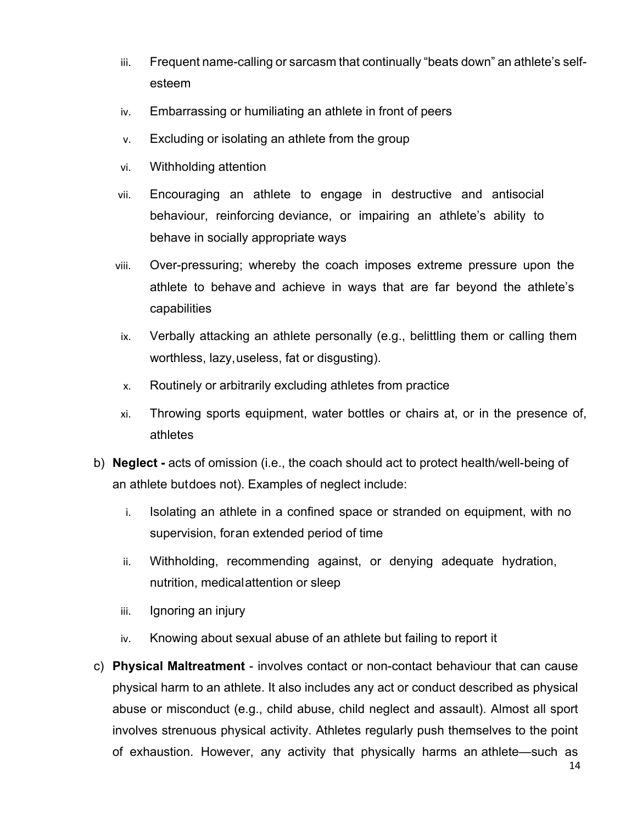- iii. Frequent name-calling or sarcasm that continually "beats down" an athlete's selfesteem
- iv. Embarrassing or humiliating an athlete in front of peers
- v. Excluding or isolating an athlete from the group
- vi. Withholding attention
- vii. Encouraging an athlete to engage in destructive and antisocial behaviour, reinforcing deviance, or impairing an athlete's ability to behave in socially appropriate ways
- viii. Over-pressuring; whereby the coach imposes extreme pressure upon the athlete to behave and achieve in ways that are far beyond the athlete's capabilities
- ix. Verbally attacking an athlete personally (e.g., belittling them or calling them worthless, lazy,useless, fat or disgusting).
- x. Routinely or arbitrarily excluding athletes from practice
- xi. Throwing sports equipment, water bottles or chairs at, or in the presence of, athletes
- b) **Neglect -** acts of omission (i.e., the coach should act to protect health/well-being of an athlete butdoes not). Examples of neglect include:
	- i. Isolating an athlete in a confined space or stranded on equipment, with no supervision, foran extended period of time
	- ii. Withholding, recommending against, or denying adequate hydration, nutrition, medicalattention or sleep
	- iii. Ignoring an injury
	- iv. Knowing about sexual abuse of an athlete but failing to report it
- c) **Physical Maltreatment**  involves contact or non-contact behaviour that can cause physical harm to an athlete. It also includes any act or conduct described as physical abuse or misconduct (e.g., child abuse, child neglect and assault). Almost all sport involves strenuous physical activity. Athletes regularly push themselves to the point of exhaustion. However, any activity that physically harms an athlete—such as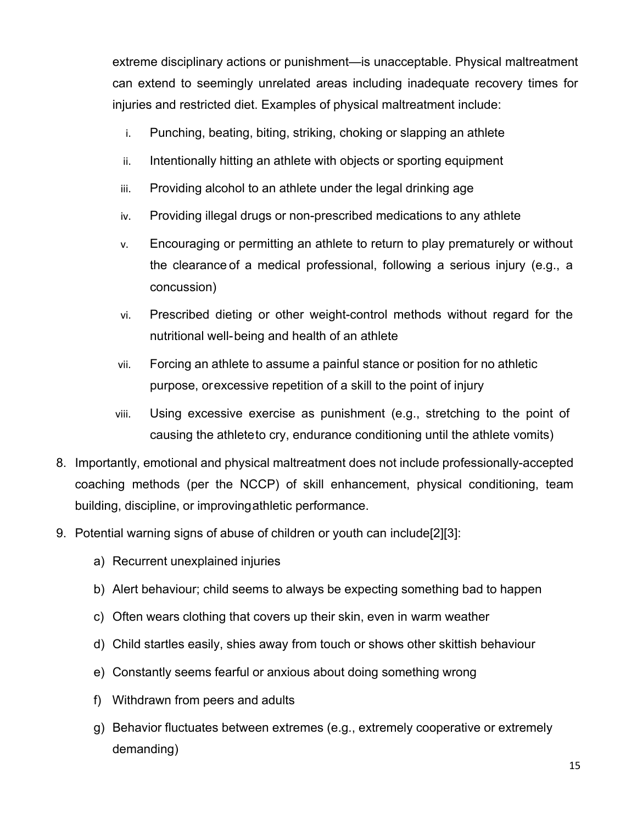extreme disciplinary actions or punishment—is unacceptable. Physical maltreatment can extend to seemingly unrelated areas including inadequate recovery times for injuries and restricted diet. Examples of physical maltreatment include:

- i. Punching, beating, biting, striking, choking or slapping an athlete
- ii. Intentionally hitting an athlete with objects or sporting equipment
- iii. Providing alcohol to an athlete under the legal drinking age
- iv. Providing illegal drugs or non-prescribed medications to any athlete
- v. Encouraging or permitting an athlete to return to play prematurely or without the clearance of a medical professional, following a serious injury (e.g., a concussion)
- vi. Prescribed dieting or other weight-control methods without regard for the nutritional well-being and health of an athlete
- vii. Forcing an athlete to assume a painful stance or position for no athletic purpose, orexcessive repetition of a skill to the point of injury
- viii. Using excessive exercise as punishment (e.g., stretching to the point of causing the athleteto cry, endurance conditioning until the athlete vomits)
- 8. Importantly, emotional and physical maltreatment does not include professionally-accepted coaching methods (per the NCCP) of skill enhancement, physical conditioning, team building, discipline, or improvingathletic performance.
- 9. Potential warning signs of abuse of children or youth can include[2][3]:
	- a) Recurrent unexplained injuries
	- b) Alert behaviour; child seems to always be expecting something bad to happen
	- c) Often wears clothing that covers up their skin, even in warm weather
	- d) Child startles easily, shies away from touch or shows other skittish behaviour
	- e) Constantly seems fearful or anxious about doing something wrong
	- f) Withdrawn from peers and adults
	- g) Behavior fluctuates between extremes (e.g., extremely cooperative or extremely demanding)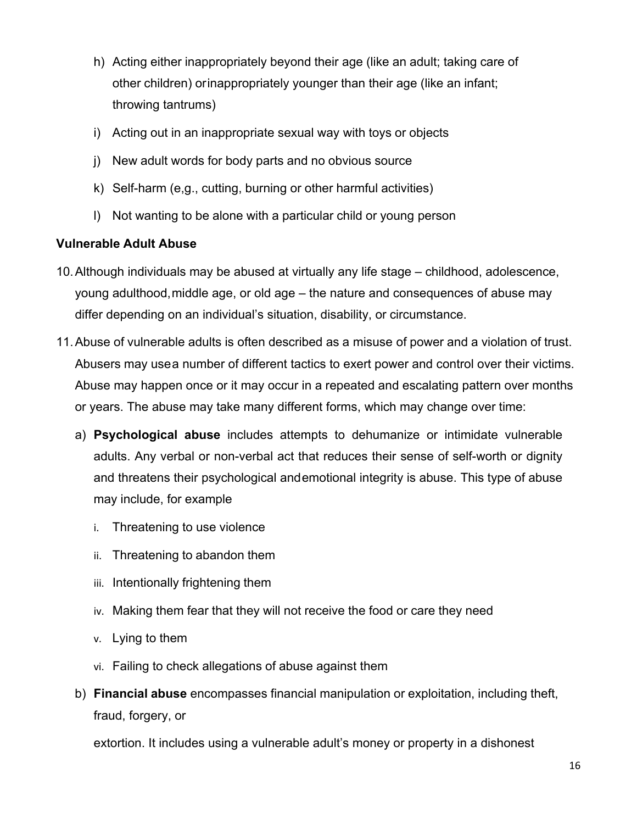- h) Acting either inappropriately beyond their age (like an adult; taking care of other children) orinappropriately younger than their age (like an infant; throwing tantrums)
- i) Acting out in an inappropriate sexual way with toys or objects
- j) New adult words for body parts and no obvious source
- k) Self-harm (e,g., cutting, burning or other harmful activities)
- l) Not wanting to be alone with a particular child or young person

# **Vulnerable Adult Abuse**

- 10.Although individuals may be abused at virtually any life stage childhood, adolescence, young adulthood,middle age, or old age – the nature and consequences of abuse may differ depending on an individual's situation, disability, or circumstance.
- 11.Abuse of vulnerable adults is often described as a misuse of power and a violation of trust. Abusers may usea number of different tactics to exert power and control over their victims. Abuse may happen once or it may occur in a repeated and escalating pattern over months or years. The abuse may take many different forms, which may change over time:
	- a) **Psychological abuse** includes attempts to dehumanize or intimidate vulnerable adults. Any verbal or non-verbal act that reduces their sense of self-worth or dignity and threatens their psychological andemotional integrity is abuse. This type of abuse may include, for example
		- i. Threatening to use violence
		- ii. Threatening to abandon them
		- iii. Intentionally frightening them
		- iv. Making them fear that they will not receive the food or care they need
		- v. Lying to them
		- vi. Failing to check allegations of abuse against them
	- b) **Financial abuse** encompasses financial manipulation or exploitation, including theft, fraud, forgery, or

extortion. It includes using a vulnerable adult's money or property in a dishonest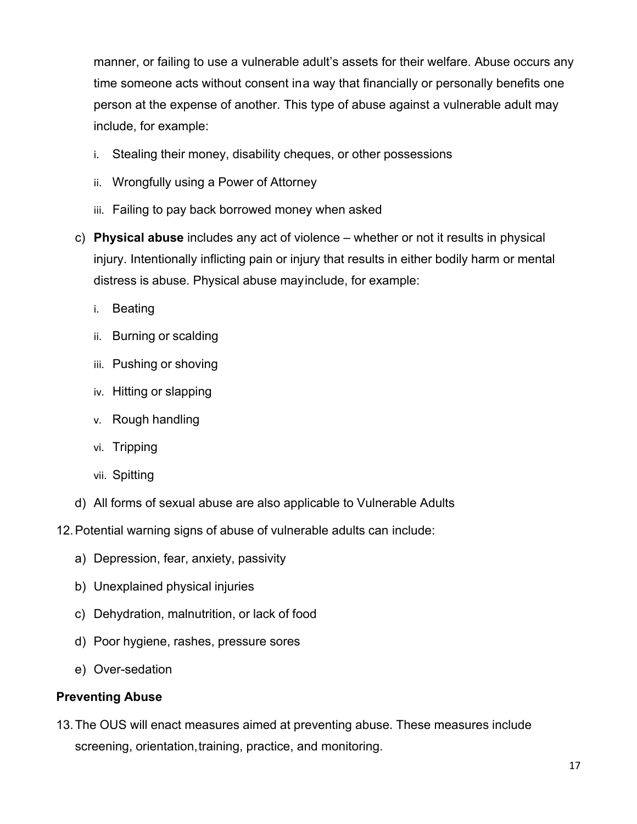manner, or failing to use a vulnerable adult's assets for their welfare. Abuse occurs any time someone acts without consent ina way that financially or personally benefits one person at the expense of another. This type of abuse against a vulnerable adult may include, for example:

- i. Stealing their money, disability cheques, or other possessions
- ii. Wrongfully using a Power of Attorney
- iii. Failing to pay back borrowed money when asked
- c) **Physical abuse** includes any act of violence whether or not it results in physical injury. Intentionally inflicting pain or injury that results in either bodily harm or mental distress is abuse. Physical abuse mayinclude, for example:
	- i. Beating
	- ii. Burning or scalding
	- iii. Pushing or shoving
	- iv. Hitting or slapping
	- v. Rough handling
	- vi. Tripping
	- vii. Spitting
- d) All forms of sexual abuse are also applicable to Vulnerable Adults
- 12.Potential warning signs of abuse of vulnerable adults can include:
	- a) Depression, fear, anxiety, passivity
	- b) Unexplained physical injuries
	- c) Dehydration, malnutrition, or lack of food
	- d) Poor hygiene, rashes, pressure sores
	- e) Over-sedation

# **Preventing Abuse**

13.The OUS will enact measures aimed at preventing abuse. These measures include screening, orientation, training, practice, and monitoring.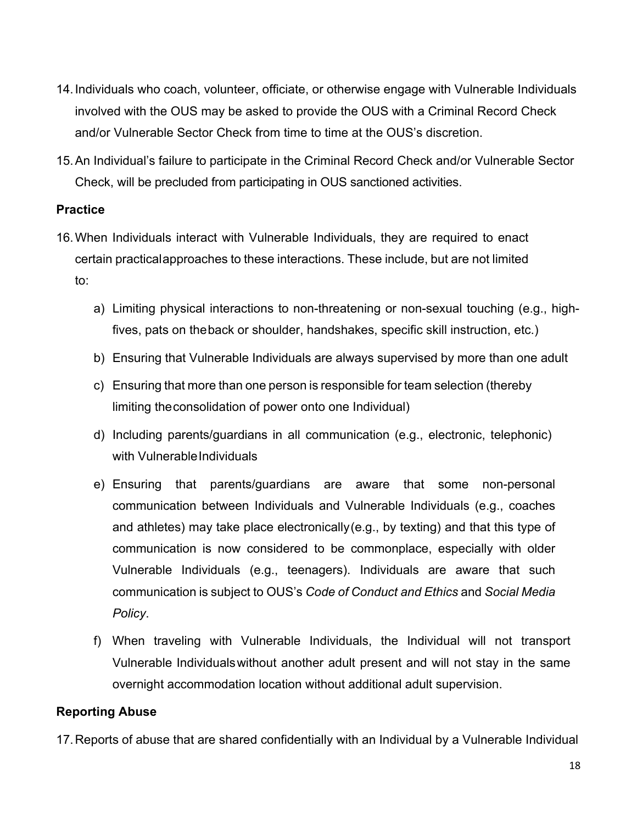- 14.Individuals who coach, volunteer, officiate, or otherwise engage with Vulnerable Individuals involved with the OUS may be asked to provide the OUS with a Criminal Record Check and/or Vulnerable Sector Check from time to time at the OUS's discretion.
- 15.An Individual's failure to participate in the Criminal Record Check and/or Vulnerable Sector Check, will be precluded from participating in OUS sanctioned activities.

### **Practice**

- 16.When Individuals interact with Vulnerable Individuals, they are required to enact certain practicalapproaches to these interactions. These include, but are not limited to:
	- a) Limiting physical interactions to non-threatening or non-sexual touching (e.g., highfives, pats on theback or shoulder, handshakes, specific skill instruction, etc.)
	- b) Ensuring that Vulnerable Individuals are always supervised by more than one adult
	- c) Ensuring that more than one person is responsible for team selection (thereby limiting theconsolidation of power onto one Individual)
	- d) Including parents/guardians in all communication (e.g., electronic, telephonic) with Vulnerable Individuals
	- e) Ensuring that parents/guardians are aware that some non-personal communication between Individuals and Vulnerable Individuals (e.g., coaches and athletes) may take place electronically(e.g., by texting) and that this type of communication is now considered to be commonplace, especially with older Vulnerable Individuals (e.g., teenagers). Individuals are aware that such communication is subject to OUS's *Code of Conduct and Ethics* and *Social Media Policy*.
	- f) When traveling with Vulnerable Individuals, the Individual will not transport Vulnerable Individualswithout another adult present and will not stay in the same overnight accommodation location without additional adult supervision.

### **Reporting Abuse**

17.Reports of abuse that are shared confidentially with an Individual by a Vulnerable Individual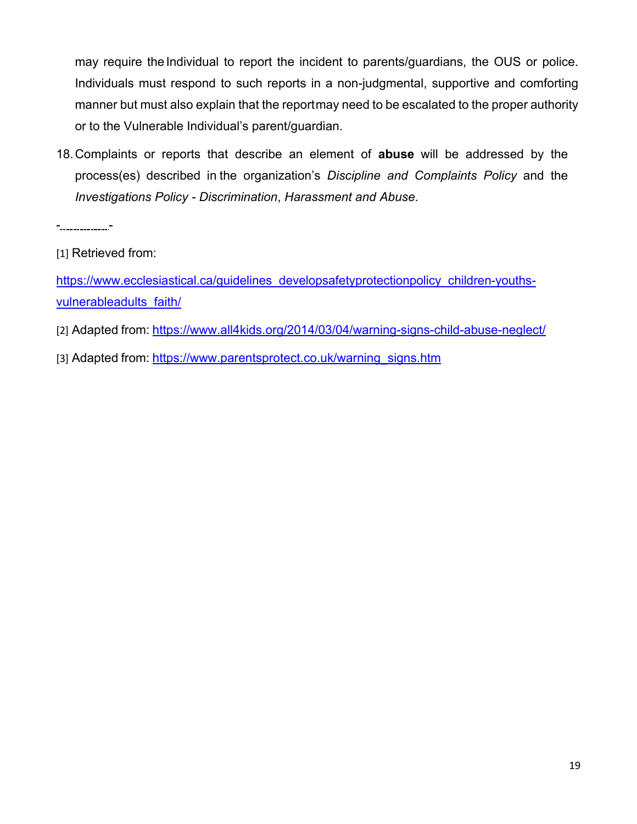may require the Individual to report the incident to parents/guardians, the OUS or police. Individuals must respond to such reports in a non-judgmental, supportive and comforting manner but must also explain that the reportmay need to be escalated to the proper authority or to the Vulnerable Individual's parent/guardian.

18.Complaints or reports that describe an element of **abuse** will be addressed by the process(es) described in the organization's *Discipline and Complaints Policy* and the *Investigations Policy - Discrimination*, *Harassment and Abuse*.

- -

https://www.ecclesiastical.ca/guidelines\_developsafetyprotectionpolicy\_children-youthsvulnerableadults\_faith/

- [2] Adapted from: https://www.all4kids.org/2014/03/04/warning-signs-child-abuse-neglect/
- [3] Adapted from: https://www.parentsprotect.co.uk/warning\_signs.htm

<sup>[1]</sup> Retrieved from: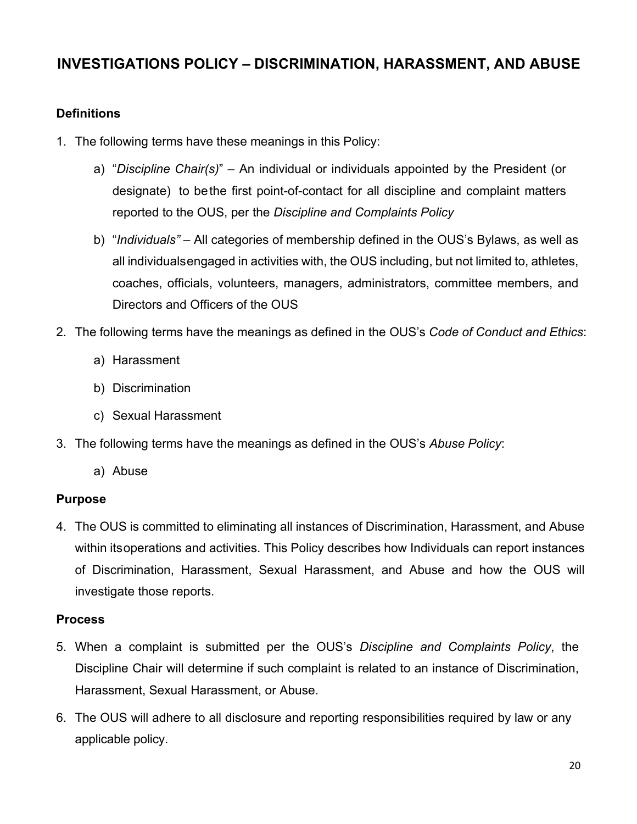# **INVESTIGATIONS POLICY – DISCRIMINATION, HARASSMENT, AND ABUSE**

# **Definitions**

- 1. The following terms have these meanings in this Policy:
	- a) "*Discipline Chair(s)*" An individual or individuals appointed by the President (or designate) to bethe first point-of-contact for all discipline and complaint matters reported to the OUS, per the *Discipline and Complaints Policy*
	- b) "*Individuals"* All categories of membership defined in the OUS's Bylaws, as well as all individualsengaged in activities with, the OUS including, but not limited to, athletes, coaches, officials, volunteers, managers, administrators, committee members, and Directors and Officers of the OUS
- 2. The following terms have the meanings as defined in the OUS's *Code of Conduct and Ethics*:
	- a) Harassment
	- b) Discrimination
	- c) Sexual Harassment
- 3. The following terms have the meanings as defined in the OUS's *Abuse Policy*:
	- a) Abuse

### **Purpose**

4. The OUS is committed to eliminating all instances of Discrimination, Harassment, and Abuse within itsoperations and activities. This Policy describes how Individuals can report instances of Discrimination, Harassment, Sexual Harassment, and Abuse and how the OUS will investigate those reports.

### **Process**

- 5. When a complaint is submitted per the OUS's *Discipline and Complaints Policy*, the Discipline Chair will determine if such complaint is related to an instance of Discrimination, Harassment, Sexual Harassment, or Abuse.
- 6. The OUS will adhere to all disclosure and reporting responsibilities required by law or any applicable policy.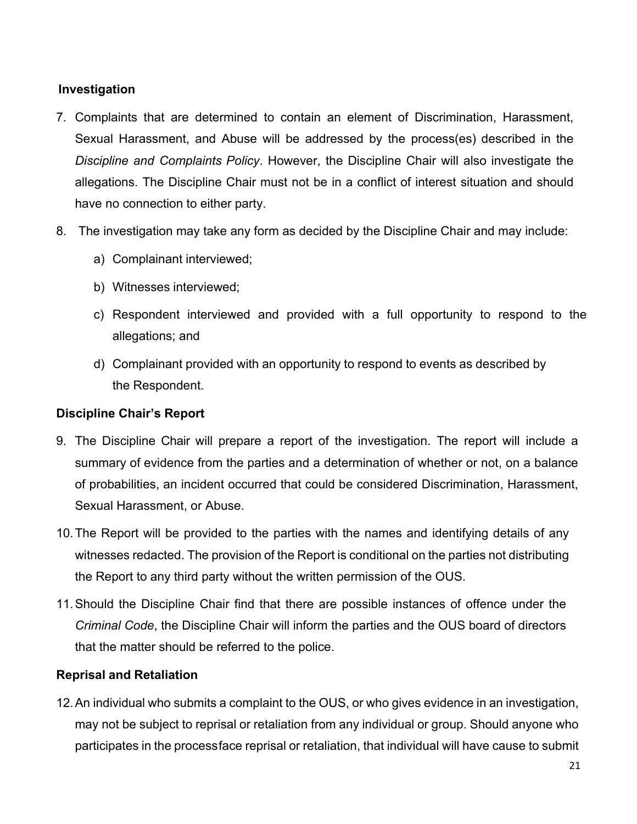# **Investigation**

- 7. Complaints that are determined to contain an element of Discrimination, Harassment, Sexual Harassment, and Abuse will be addressed by the process(es) described in the *Discipline and Complaints Policy*. However, the Discipline Chair will also investigate the allegations. The Discipline Chair must not be in a conflict of interest situation and should have no connection to either party.
- 8. The investigation may take any form as decided by the Discipline Chair and may include:
	- a) Complainant interviewed;
	- b) Witnesses interviewed;
	- c) Respondent interviewed and provided with a full opportunity to respond to the allegations; and
	- d) Complainant provided with an opportunity to respond to events as described by the Respondent.

#### **Discipline Chair's Report**

- 9. The Discipline Chair will prepare a report of the investigation. The report will include a summary of evidence from the parties and a determination of whether or not, on a balance of probabilities, an incident occurred that could be considered Discrimination, Harassment, Sexual Harassment, or Abuse.
- 10.The Report will be provided to the parties with the names and identifying details of any witnesses redacted. The provision of the Report is conditional on the parties not distributing the Report to any third party without the written permission of the OUS.
- 11.Should the Discipline Chair find that there are possible instances of offence under the *Criminal Code*, the Discipline Chair will inform the parties and the OUS board of directors that the matter should be referred to the police.

### **Reprisal and Retaliation**

12.An individual who submits a complaint to the OUS, or who gives evidence in an investigation, may not be subject to reprisal or retaliation from any individual or group. Should anyone who participates in the processface reprisal or retaliation, that individual will have cause to submit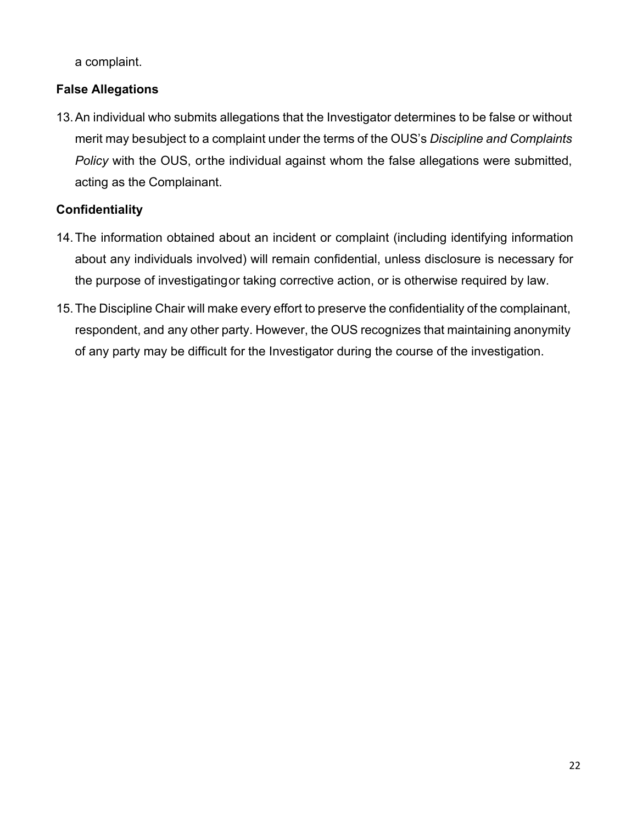a complaint.

# **False Allegations**

13.An individual who submits allegations that the Investigator determines to be false or without merit may besubject to a complaint under the terms of the OUS's *Discipline and Complaints Policy* with the OUS, orthe individual against whom the false allegations were submitted, acting as the Complainant.

# **Confidentiality**

- 14.The information obtained about an incident or complaint (including identifying information about any individuals involved) will remain confidential, unless disclosure is necessary for the purpose of investigatingor taking corrective action, or is otherwise required by law.
- 15.The Discipline Chair will make every effort to preserve the confidentiality of the complainant, respondent, and any other party. However, the OUS recognizes that maintaining anonymity of any party may be difficult for the Investigator during the course of the investigation.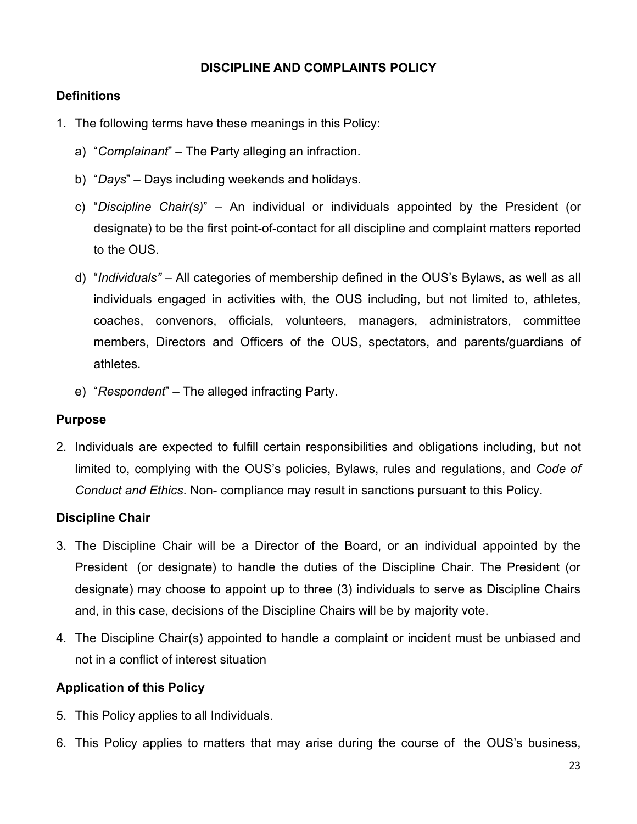### **DISCIPLINE AND COMPLAINTS POLICY**

### **Definitions**

- 1. The following terms have these meanings in this Policy:
	- a) "*Complainant*" The Party alleging an infraction.
	- b) "*Days*" Days including weekends and holidays.
	- c) "*Discipline Chair(s)*" An individual or individuals appointed by the President (or designate) to be the first point-of-contact for all discipline and complaint matters reported to the OUS.
	- d) "*Individuals"*  All categories of membership defined in the OUS's Bylaws, as well as all individuals engaged in activities with, the OUS including, but not limited to, athletes, coaches, convenors, officials, volunteers, managers, administrators, committee members, Directors and Officers of the OUS, spectators, and parents/guardians of athletes.
	- e) "*Respondent*" The alleged infracting Party.

### **Purpose**

2. Individuals are expected to fulfill certain responsibilities and obligations including, but not limited to, complying with the OUS's policies, Bylaws, rules and regulations, and *Code of Conduct and Ethics*. Non- compliance may result in sanctions pursuant to this Policy.

# **Discipline Chair**

- 3. The Discipline Chair will be a Director of the Board, or an individual appointed by the President (or designate) to handle the duties of the Discipline Chair. The President (or designate) may choose to appoint up to three (3) individuals to serve as Discipline Chairs and, in this case, decisions of the Discipline Chairs will be by majority vote.
- 4. The Discipline Chair(s) appointed to handle a complaint or incident must be unbiased and not in a conflict of interest situation

### **Application of this Policy**

- 5. This Policy applies to all Individuals.
- 6. This Policy applies to matters that may arise during the course of the OUS's business,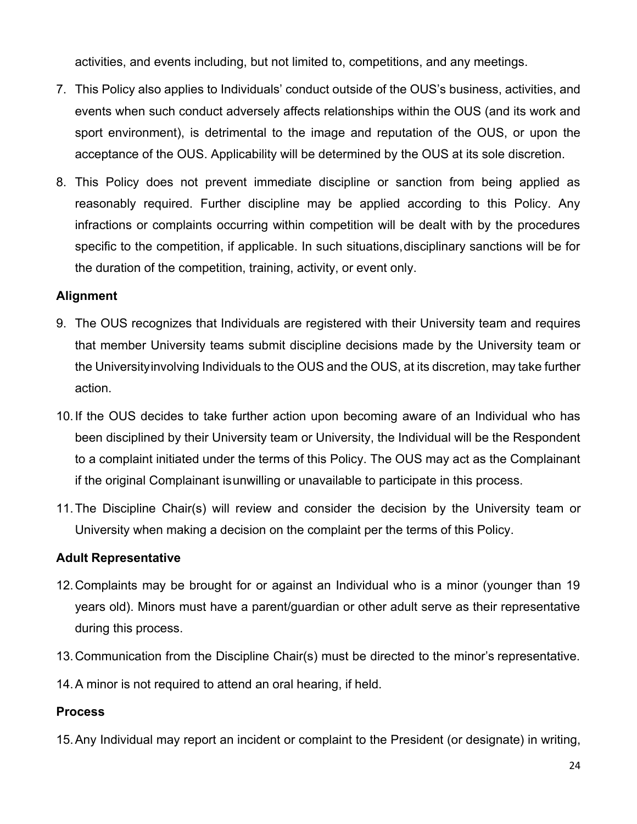activities, and events including, but not limited to, competitions, and any meetings.

- 7. This Policy also applies to Individuals' conduct outside of the OUS's business, activities, and events when such conduct adversely affects relationships within the OUS (and its work and sport environment), is detrimental to the image and reputation of the OUS, or upon the acceptance of the OUS. Applicability will be determined by the OUS at its sole discretion.
- 8. This Policy does not prevent immediate discipline or sanction from being applied as reasonably required. Further discipline may be applied according to this Policy. Any infractions or complaints occurring within competition will be dealt with by the procedures specific to the competition, if applicable. In such situations,disciplinary sanctions will be for the duration of the competition, training, activity, or event only.

### **Alignment**

- 9. The OUS recognizes that Individuals are registered with their University team and requires that member University teams submit discipline decisions made by the University team or the Universityinvolving Individuals to the OUS and the OUS, at its discretion, may take further action.
- 10.If the OUS decides to take further action upon becoming aware of an Individual who has been disciplined by their University team or University, the Individual will be the Respondent to a complaint initiated under the terms of this Policy. The OUS may act as the Complainant if the original Complainant isunwilling or unavailable to participate in this process.
- 11.The Discipline Chair(s) will review and consider the decision by the University team or University when making a decision on the complaint per the terms of this Policy.

### **Adult Representative**

- 12.Complaints may be brought for or against an Individual who is a minor (younger than 19 years old). Minors must have a parent/guardian or other adult serve as their representative during this process.
- 13.Communication from the Discipline Chair(s) must be directed to the minor's representative.
- 14.A minor is not required to attend an oral hearing, if held.

### **Process**

15.Any Individual may report an incident or complaint to the President (or designate) in writing,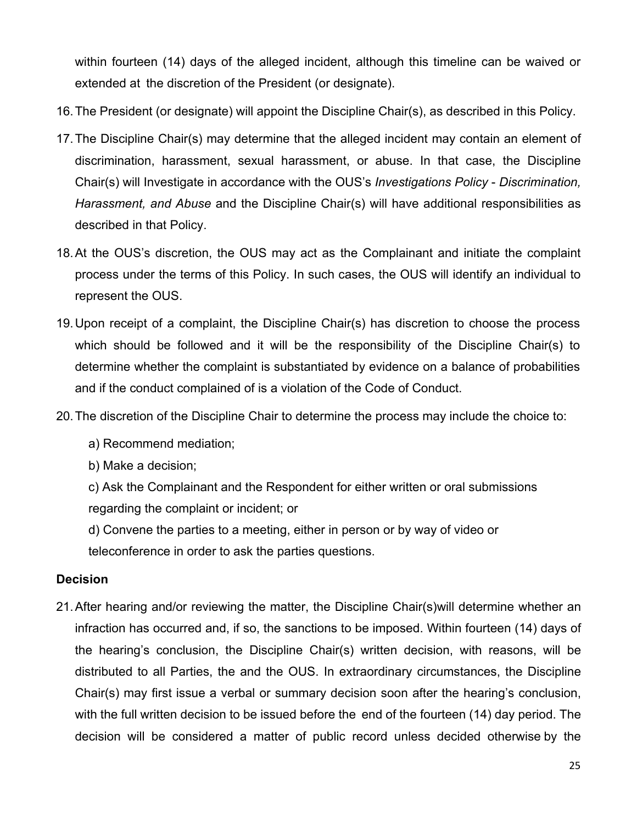within fourteen (14) days of the alleged incident, although this timeline can be waived or extended at the discretion of the President (or designate).

- 16.The President (or designate) will appoint the Discipline Chair(s), as described in this Policy.
- 17.The Discipline Chair(s) may determine that the alleged incident may contain an element of discrimination, harassment, sexual harassment, or abuse. In that case, the Discipline Chair(s) will Investigate in accordance with the OUS's *Investigations Policy* - *Discrimination, Harassment, and Abuse* and the Discipline Chair(s) will have additional responsibilities as described in that Policy.
- 18.At the OUS's discretion, the OUS may act as the Complainant and initiate the complaint process under the terms of this Policy. In such cases, the OUS will identify an individual to represent the OUS.
- 19.Upon receipt of a complaint, the Discipline Chair(s) has discretion to choose the process which should be followed and it will be the responsibility of the Discipline Chair(s) to determine whether the complaint is substantiated by evidence on a balance of probabilities and if the conduct complained of is a violation of the Code of Conduct.
- 20.The discretion of the Discipline Chair to determine the process may include the choice to:
	- a) Recommend mediation;
	- b) Make a decision;
	- c) Ask the Complainant and the Respondent for either written or oral submissions regarding the complaint or incident; or
	- d) Convene the parties to a meeting, either in person or by way of video or

teleconference in order to ask the parties questions.

### **Decision**

21.After hearing and/or reviewing the matter, the Discipline Chair(s)will determine whether an infraction has occurred and, if so, the sanctions to be imposed. Within fourteen (14) days of the hearing's conclusion, the Discipline Chair(s) written decision, with reasons, will be distributed to all Parties, the and the OUS. In extraordinary circumstances, the Discipline Chair(s) may first issue a verbal or summary decision soon after the hearing's conclusion, with the full written decision to be issued before the end of the fourteen (14) day period. The decision will be considered a matter of public record unless decided otherwise by the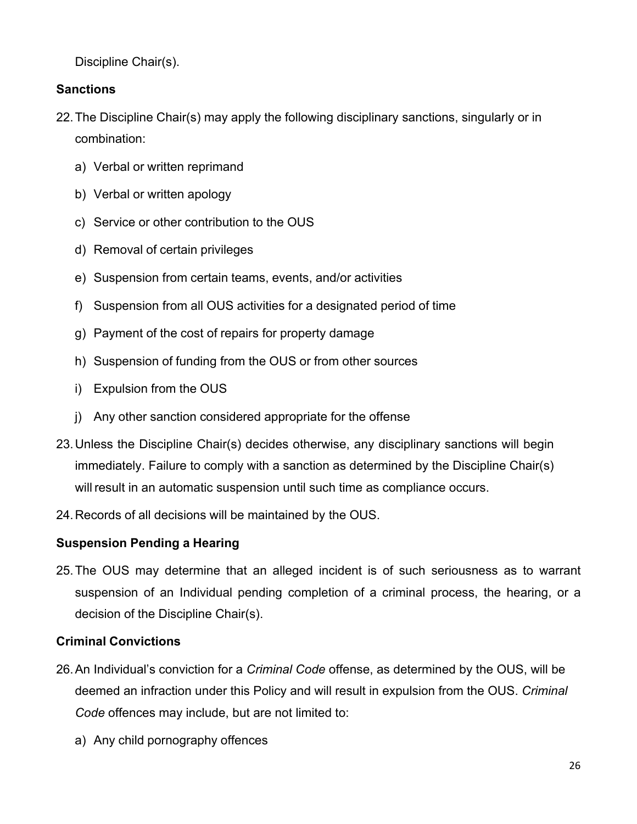Discipline Chair(s).

# **Sanctions**

- 22.The Discipline Chair(s) may apply the following disciplinary sanctions, singularly or in combination:
	- a) Verbal or written reprimand
	- b) Verbal or written apology
	- c) Service or other contribution to the OUS
	- d) Removal of certain privileges
	- e) Suspension from certain teams, events, and/or activities
	- f) Suspension from all OUS activities for a designated period of time
	- g) Payment of the cost of repairs for property damage
	- h) Suspension of funding from the OUS or from other sources
	- i) Expulsion from the OUS
	- j) Any other sanction considered appropriate for the offense
- 23.Unless the Discipline Chair(s) decides otherwise, any disciplinary sanctions will begin immediately. Failure to comply with a sanction as determined by the Discipline Chair(s) will result in an automatic suspension until such time as compliance occurs.
- 24.Records of all decisions will be maintained by the OUS.

# **Suspension Pending a Hearing**

25.The OUS may determine that an alleged incident is of such seriousness as to warrant suspension of an Individual pending completion of a criminal process, the hearing, or a decision of the Discipline Chair(s).

# **Criminal Convictions**

- 26.An Individual's conviction for a *Criminal Code* offense, as determined by the OUS, will be deemed an infraction under this Policy and will result in expulsion from the OUS. *Criminal Code* offences may include, but are not limited to:
	- a) Any child pornography offences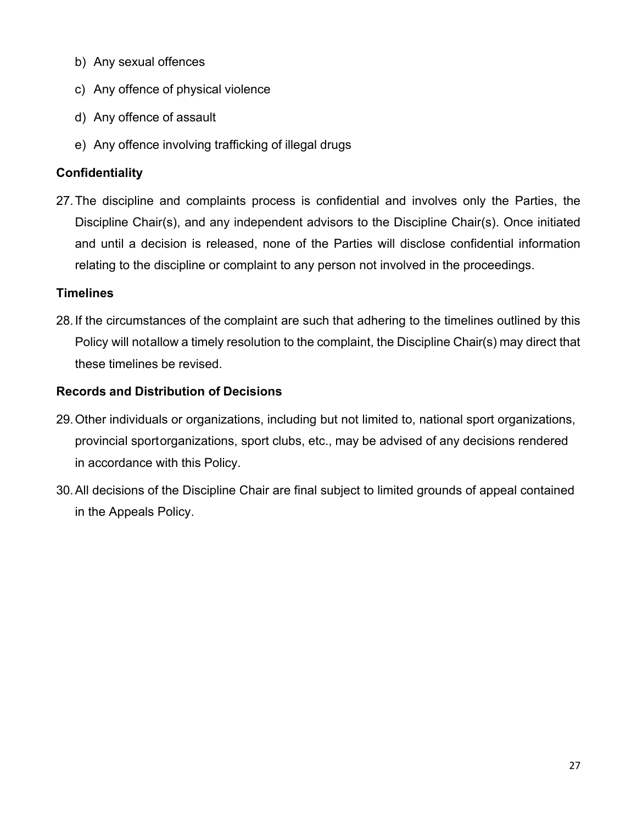- b) Any sexual offences
- c) Any offence of physical violence
- d) Any offence of assault
- e) Any offence involving trafficking of illegal drugs

# **Confidentiality**

27.The discipline and complaints process is confidential and involves only the Parties, the Discipline Chair(s), and any independent advisors to the Discipline Chair(s). Once initiated and until a decision is released, none of the Parties will disclose confidential information relating to the discipline or complaint to any person not involved in the proceedings.

### **Timelines**

28.If the circumstances of the complaint are such that adhering to the timelines outlined by this Policy will notallow a timely resolution to the complaint, the Discipline Chair(s) may direct that these timelines be revised.

# **Records and Distribution of Decisions**

- 29.Other individuals or organizations, including but not limited to, national sport organizations, provincial sportorganizations, sport clubs, etc., may be advised of any decisions rendered in accordance with this Policy.
- 30.All decisions of the Discipline Chair are final subject to limited grounds of appeal contained in the Appeals Policy.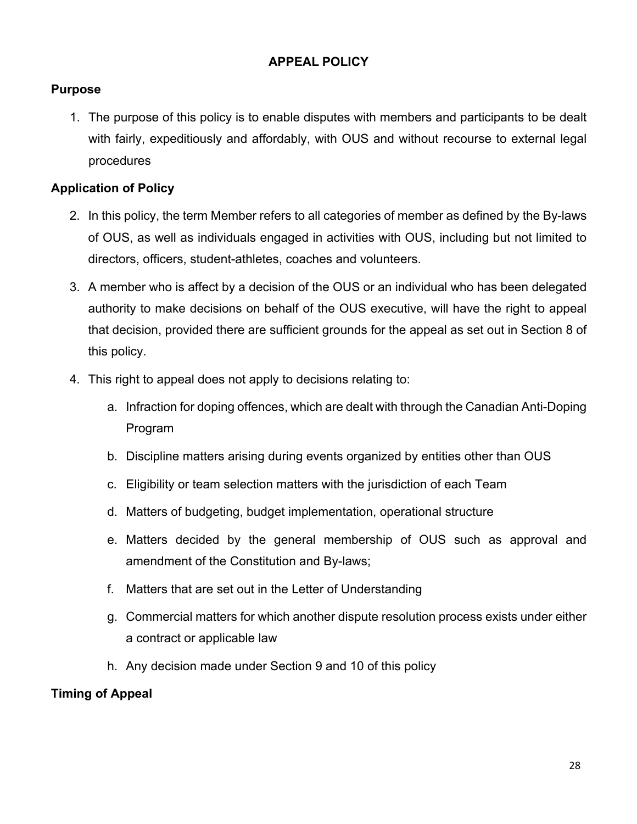# **APPEAL POLICY**

# **Purpose**

1. The purpose of this policy is to enable disputes with members and participants to be dealt with fairly, expeditiously and affordably, with OUS and without recourse to external legal procedures

# **Application of Policy**

- 2. In this policy, the term Member refers to all categories of member as defined by the By-laws of OUS, as well as individuals engaged in activities with OUS, including but not limited to directors, officers, student-athletes, coaches and volunteers.
- 3. A member who is affect by a decision of the OUS or an individual who has been delegated authority to make decisions on behalf of the OUS executive, will have the right to appeal that decision, provided there are sufficient grounds for the appeal as set out in Section 8 of this policy.
- 4. This right to appeal does not apply to decisions relating to:
	- a. Infraction for doping offences, which are dealt with through the Canadian Anti-Doping Program
	- b. Discipline matters arising during events organized by entities other than OUS
	- c. Eligibility or team selection matters with the jurisdiction of each Team
	- d. Matters of budgeting, budget implementation, operational structure
	- e. Matters decided by the general membership of OUS such as approval and amendment of the Constitution and By-laws;
	- f. Matters that are set out in the Letter of Understanding
	- g. Commercial matters for which another dispute resolution process exists under either a contract or applicable law
	- h. Any decision made under Section 9 and 10 of this policy

# **Timing of Appeal**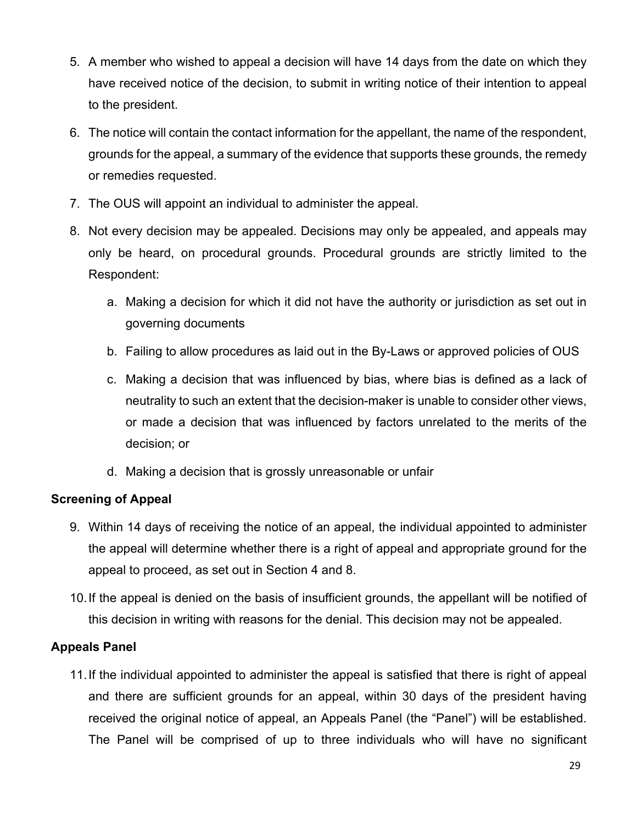- 5. A member who wished to appeal a decision will have 14 days from the date on which they have received notice of the decision, to submit in writing notice of their intention to appeal to the president.
- 6. The notice will contain the contact information for the appellant, the name of the respondent, grounds for the appeal, a summary of the evidence that supports these grounds, the remedy or remedies requested.
- 7. The OUS will appoint an individual to administer the appeal.
- 8. Not every decision may be appealed. Decisions may only be appealed, and appeals may only be heard, on procedural grounds. Procedural grounds are strictly limited to the Respondent:
	- a. Making a decision for which it did not have the authority or jurisdiction as set out in governing documents
	- b. Failing to allow procedures as laid out in the By-Laws or approved policies of OUS
	- c. Making a decision that was influenced by bias, where bias is defined as a lack of neutrality to such an extent that the decision-maker is unable to consider other views, or made a decision that was influenced by factors unrelated to the merits of the decision; or
	- d. Making a decision that is grossly unreasonable or unfair

# **Screening of Appeal**

- 9. Within 14 days of receiving the notice of an appeal, the individual appointed to administer the appeal will determine whether there is a right of appeal and appropriate ground for the appeal to proceed, as set out in Section 4 and 8.
- 10.If the appeal is denied on the basis of insufficient grounds, the appellant will be notified of this decision in writing with reasons for the denial. This decision may not be appealed.

# **Appeals Panel**

11.If the individual appointed to administer the appeal is satisfied that there is right of appeal and there are sufficient grounds for an appeal, within 30 days of the president having received the original notice of appeal, an Appeals Panel (the "Panel") will be established. The Panel will be comprised of up to three individuals who will have no significant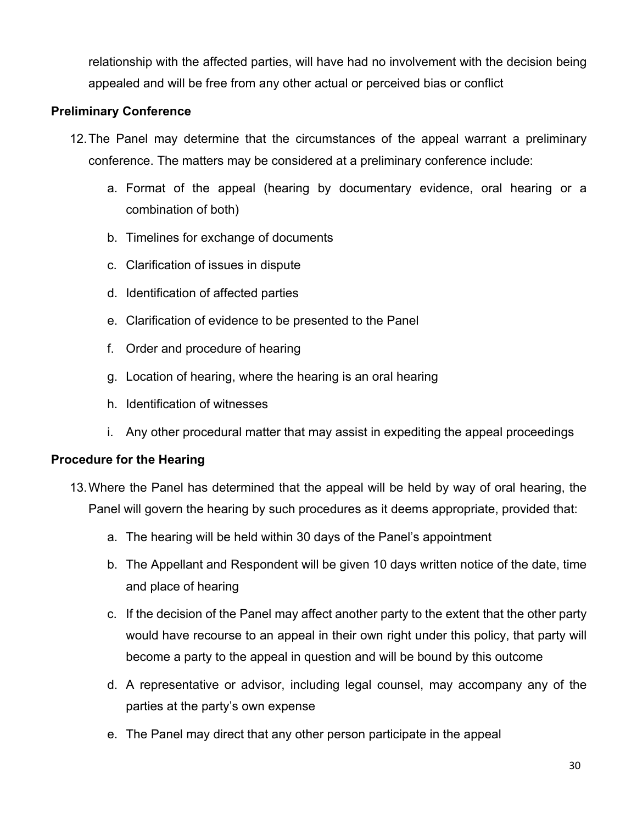relationship with the affected parties, will have had no involvement with the decision being appealed and will be free from any other actual or perceived bias or conflict

### **Preliminary Conference**

- 12.The Panel may determine that the circumstances of the appeal warrant a preliminary conference. The matters may be considered at a preliminary conference include:
	- a. Format of the appeal (hearing by documentary evidence, oral hearing or a combination of both)
	- b. Timelines for exchange of documents
	- c. Clarification of issues in dispute
	- d. Identification of affected parties
	- e. Clarification of evidence to be presented to the Panel
	- f. Order and procedure of hearing
	- g. Location of hearing, where the hearing is an oral hearing
	- h. Identification of witnesses
	- i. Any other procedural matter that may assist in expediting the appeal proceedings

### **Procedure for the Hearing**

- 13.Where the Panel has determined that the appeal will be held by way of oral hearing, the Panel will govern the hearing by such procedures as it deems appropriate, provided that:
	- a. The hearing will be held within 30 days of the Panel's appointment
	- b. The Appellant and Respondent will be given 10 days written notice of the date, time and place of hearing
	- c. If the decision of the Panel may affect another party to the extent that the other party would have recourse to an appeal in their own right under this policy, that party will become a party to the appeal in question and will be bound by this outcome
	- d. A representative or advisor, including legal counsel, may accompany any of the parties at the party's own expense
	- e. The Panel may direct that any other person participate in the appeal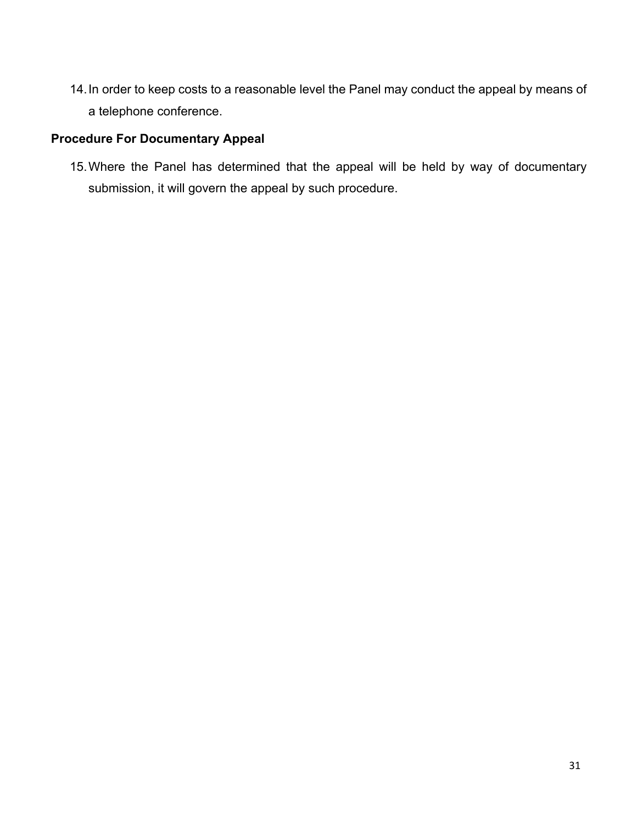14.In order to keep costs to a reasonable level the Panel may conduct the appeal by means of a telephone conference.

# **Procedure For Documentary Appeal**

15.Where the Panel has determined that the appeal will be held by way of documentary submission, it will govern the appeal by such procedure.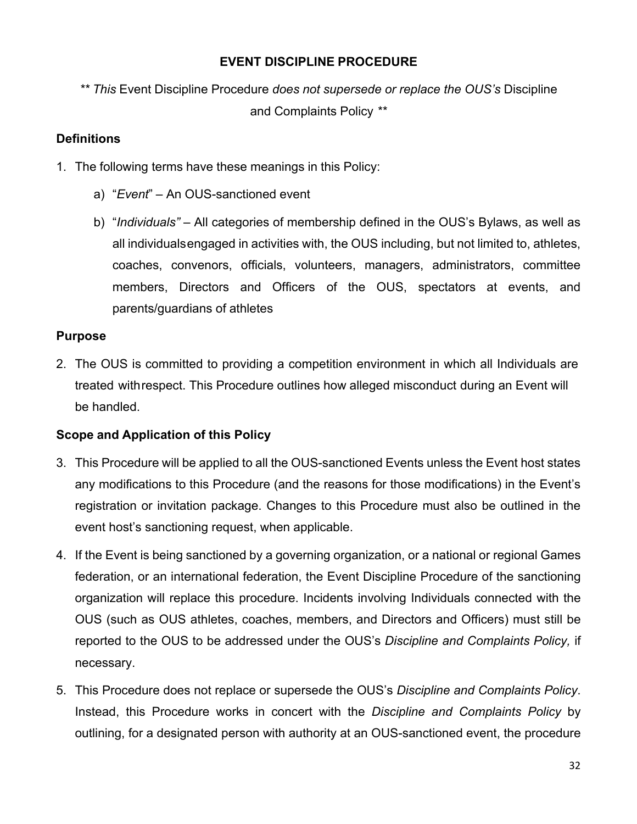# **EVENT DISCIPLINE PROCEDURE**

*\*\* This* Event Discipline Procedure *does not supersede or replace the OUS's* Discipline and Complaints Policy *\*\**

# **Definitions**

- 1. The following terms have these meanings in this Policy:
	- a) "*Event*" An OUS-sanctioned event
	- b) "*Individuals"*  All categories of membership defined in the OUS's Bylaws, as well as all individualsengaged in activities with, the OUS including, but not limited to, athletes, coaches, convenors, officials, volunteers, managers, administrators, committee members, Directors and Officers of the OUS, spectators at events, and parents/guardians of athletes

### **Purpose**

2. The OUS is committed to providing a competition environment in which all Individuals are treated withrespect. This Procedure outlines how alleged misconduct during an Event will be handled.

# **Scope and Application of this Policy**

- 3. This Procedure will be applied to all the OUS-sanctioned Events unless the Event host states any modifications to this Procedure (and the reasons for those modifications) in the Event's registration or invitation package. Changes to this Procedure must also be outlined in the event host's sanctioning request, when applicable.
- 4. If the Event is being sanctioned by a governing organization, or a national or regional Games federation, or an international federation, the Event Discipline Procedure of the sanctioning organization will replace this procedure. Incidents involving Individuals connected with the OUS (such as OUS athletes, coaches, members, and Directors and Officers) must still be reported to the OUS to be addressed under the OUS's *Discipline and Complaints Policy,* if necessary.
- 5. This Procedure does not replace or supersede the OUS's *Discipline and Complaints Policy*. Instead, this Procedure works in concert with the *Discipline and Complaints Policy* by outlining, for a designated person with authority at an OUS-sanctioned event, the procedure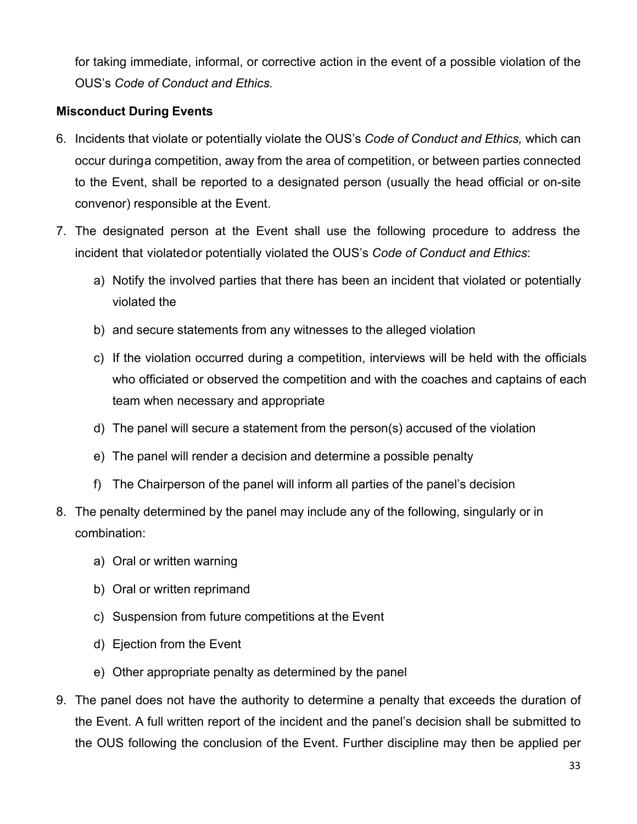for taking immediate, informal, or corrective action in the event of a possible violation of the OUS's *Code of Conduct and Ethics.*

# **Misconduct During Events**

- 6. Incidents that violate or potentially violate the OUS's *Code of Conduct and Ethics,* which can occur duringa competition, away from the area of competition, or between parties connected to the Event, shall be reported to a designated person (usually the head official or on-site convenor) responsible at the Event.
- 7. The designated person at the Event shall use the following procedure to address the incident that violatedor potentially violated the OUS's *Code of Conduct and Ethics*:
	- a) Notify the involved parties that there has been an incident that violated or potentially violated the
	- b) and secure statements from any witnesses to the alleged violation
	- c) If the violation occurred during a competition, interviews will be held with the officials who officiated or observed the competition and with the coaches and captains of each team when necessary and appropriate
	- d) The panel will secure a statement from the person(s) accused of the violation
	- e) The panel will render a decision and determine a possible penalty
	- f) The Chairperson of the panel will inform all parties of the panel's decision
- 8. The penalty determined by the panel may include any of the following, singularly or in combination:
	- a) Oral or written warning
	- b) Oral or written reprimand
	- c) Suspension from future competitions at the Event
	- d) Ejection from the Event
	- e) Other appropriate penalty as determined by the panel
- 9. The panel does not have the authority to determine a penalty that exceeds the duration of the Event. A full written report of the incident and the panel's decision shall be submitted to the OUS following the conclusion of the Event. Further discipline may then be applied per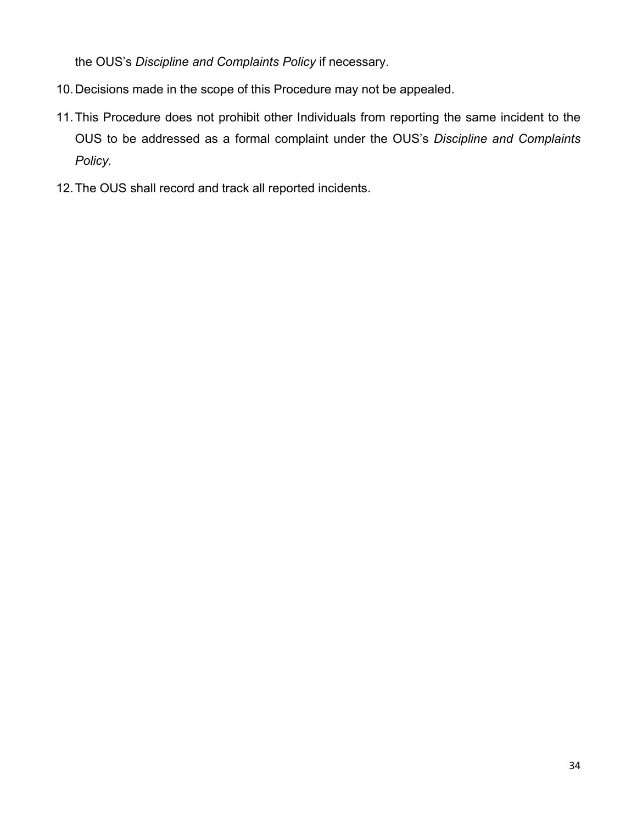the OUS's *Discipline and Complaints Policy* if necessary.

- 10.Decisions made in the scope of this Procedure may not be appealed.
- 11.This Procedure does not prohibit other Individuals from reporting the same incident to the OUS to be addressed as a formal complaint under the OUS's *Discipline and Complaints Policy.*
- 12.The OUS shall record and track all reported incidents.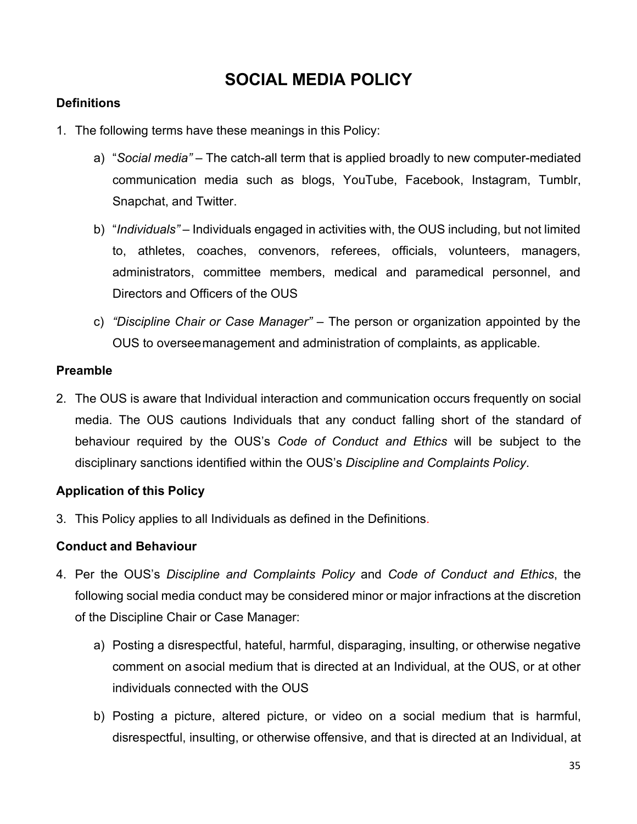# **SOCIAL MEDIA POLICY**

# **Definitions**

- 1. The following terms have these meanings in this Policy:
	- a) "*Social media"* The catch-all term that is applied broadly to new computer-mediated communication media such as blogs, YouTube, Facebook, Instagram, Tumblr, Snapchat, and Twitter.
	- b) "*Individuals"*  Individuals engaged in activities with, the OUS including, but not limited to, athletes, coaches, convenors, referees, officials, volunteers, managers, administrators, committee members, medical and paramedical personnel, and Directors and Officers of the OUS
	- c) *"Discipline Chair or Case Manager" –* The person or organization appointed by the OUS to overseemanagement and administration of complaints, as applicable.

### **Preamble**

2. The OUS is aware that Individual interaction and communication occurs frequently on social media. The OUS cautions Individuals that any conduct falling short of the standard of behaviour required by the OUS's *Code of Conduct and Ethics* will be subject to the disciplinary sanctions identified within the OUS's *Discipline and Complaints Policy*.

# **Application of this Policy**

3. This Policy applies to all Individuals as defined in the Definitions.

# **Conduct and Behaviour**

- 4. Per the OUS's *Discipline and Complaints Policy* and *Code of Conduct and Ethics*, the following social media conduct may be considered minor or major infractions at the discretion of the Discipline Chair or Case Manager:
	- a) Posting a disrespectful, hateful, harmful, disparaging, insulting, or otherwise negative comment on asocial medium that is directed at an Individual, at the OUS, or at other individuals connected with the OUS
	- b) Posting a picture, altered picture, or video on a social medium that is harmful, disrespectful, insulting, or otherwise offensive, and that is directed at an Individual, at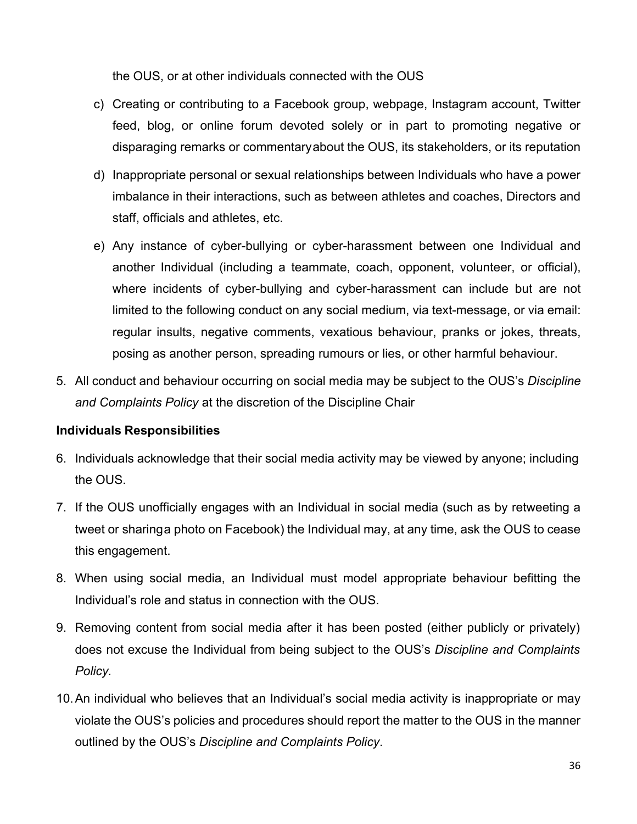the OUS, or at other individuals connected with the OUS

- c) Creating or contributing to a Facebook group, webpage, Instagram account, Twitter feed, blog, or online forum devoted solely or in part to promoting negative or disparaging remarks or commentaryabout the OUS, its stakeholders, or its reputation
- d) Inappropriate personal or sexual relationships between Individuals who have a power imbalance in their interactions, such as between athletes and coaches, Directors and staff, officials and athletes, etc.
- e) Any instance of cyber-bullying or cyber-harassment between one Individual and another Individual (including a teammate, coach, opponent, volunteer, or official), where incidents of cyber-bullying and cyber-harassment can include but are not limited to the following conduct on any social medium, via text-message, or via email: regular insults, negative comments, vexatious behaviour, pranks or jokes, threats, posing as another person, spreading rumours or lies, or other harmful behaviour.
- 5. All conduct and behaviour occurring on social media may be subject to the OUS's *Discipline and Complaints Policy* at the discretion of the Discipline Chair

### **Individuals Responsibilities**

- 6. Individuals acknowledge that their social media activity may be viewed by anyone; including the OUS.
- 7. If the OUS unofficially engages with an Individual in social media (such as by retweeting a tweet or sharinga photo on Facebook) the Individual may, at any time, ask the OUS to cease this engagement.
- 8. When using social media, an Individual must model appropriate behaviour befitting the Individual's role and status in connection with the OUS.
- 9. Removing content from social media after it has been posted (either publicly or privately) does not excuse the Individual from being subject to the OUS's *Discipline and Complaints Policy.*
- 10.An individual who believes that an Individual's social media activity is inappropriate or may violate the OUS's policies and procedures should report the matter to the OUS in the manner outlined by the OUS's *Discipline and Complaints Policy*.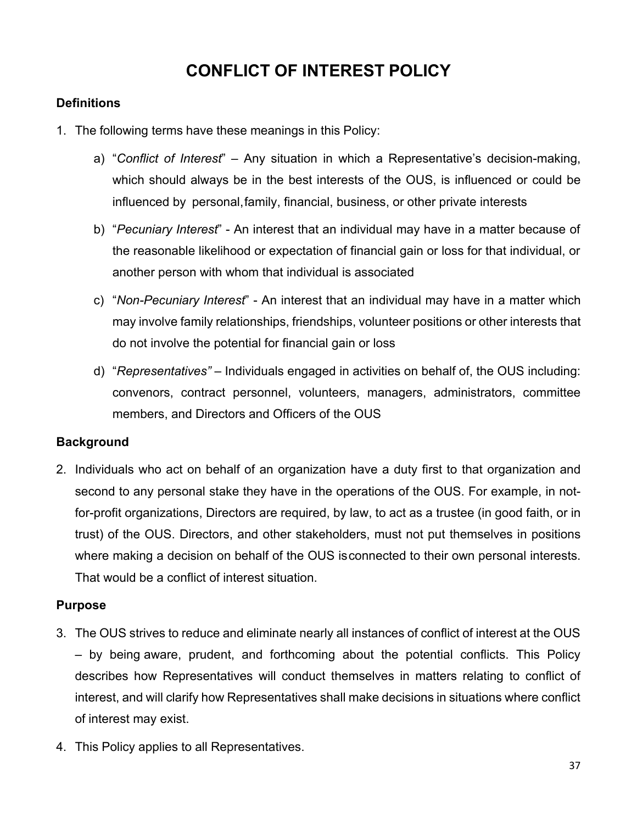# **CONFLICT OF INTEREST POLICY**

# **Definitions**

- 1. The following terms have these meanings in this Policy:
	- a) "*Conflict of Interest*" Any situation in which a Representative's decision-making, which should always be in the best interests of the OUS, is influenced or could be influenced by personal,family, financial, business, or other private interests
	- b) "*Pecuniary Interest*" An interest that an individual may have in a matter because of the reasonable likelihood or expectation of financial gain or loss for that individual, or another person with whom that individual is associated
	- c) "*Non-Pecuniary Interest*" An interest that an individual may have in a matter which may involve family relationships, friendships, volunteer positions or other interests that do not involve the potential for financial gain or loss
	- d) "*Representatives"* Individuals engaged in activities on behalf of, the OUS including: convenors, contract personnel, volunteers, managers, administrators, committee members, and Directors and Officers of the OUS

# **Background**

2. Individuals who act on behalf of an organization have a duty first to that organization and second to any personal stake they have in the operations of the OUS. For example, in notfor-profit organizations, Directors are required, by law, to act as a trustee (in good faith, or in trust) of the OUS. Directors, and other stakeholders, must not put themselves in positions where making a decision on behalf of the OUS isconnected to their own personal interests. That would be a conflict of interest situation.

# **Purpose**

- 3. The OUS strives to reduce and eliminate nearly all instances of conflict of interest at the OUS – by being aware, prudent, and forthcoming about the potential conflicts. This Policy describes how Representatives will conduct themselves in matters relating to conflict of interest, and will clarify how Representatives shall make decisions in situations where conflict of interest may exist.
- 4. This Policy applies to all Representatives.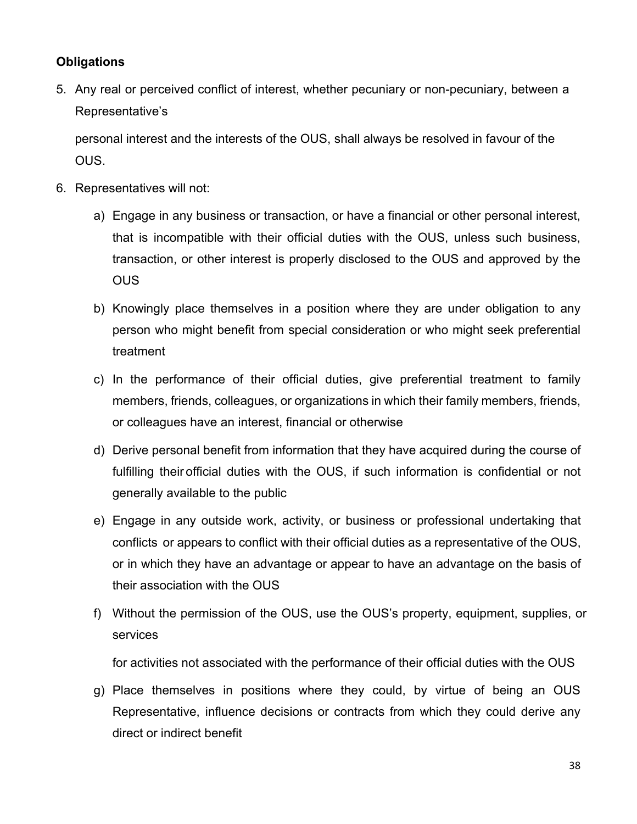# **Obligations**

5. Any real or perceived conflict of interest, whether pecuniary or non-pecuniary, between a Representative's

personal interest and the interests of the OUS, shall always be resolved in favour of the OUS.

- 6. Representatives will not:
	- a) Engage in any business or transaction, or have a financial or other personal interest, that is incompatible with their official duties with the OUS, unless such business, transaction, or other interest is properly disclosed to the OUS and approved by the **OUS**
	- b) Knowingly place themselves in a position where they are under obligation to any person who might benefit from special consideration or who might seek preferential treatment
	- c) In the performance of their official duties, give preferential treatment to family members, friends, colleagues, or organizations in which their family members, friends, or colleagues have an interest, financial or otherwise
	- d) Derive personal benefit from information that they have acquired during the course of fulfilling their official duties with the OUS, if such information is confidential or not generally available to the public
	- e) Engage in any outside work, activity, or business or professional undertaking that conflicts or appears to conflict with their official duties as a representative of the OUS, or in which they have an advantage or appear to have an advantage on the basis of their association with the OUS
	- f) Without the permission of the OUS, use the OUS's property, equipment, supplies, or services

for activities not associated with the performance of their official duties with the OUS

g) Place themselves in positions where they could, by virtue of being an OUS Representative, influence decisions or contracts from which they could derive any direct or indirect benefit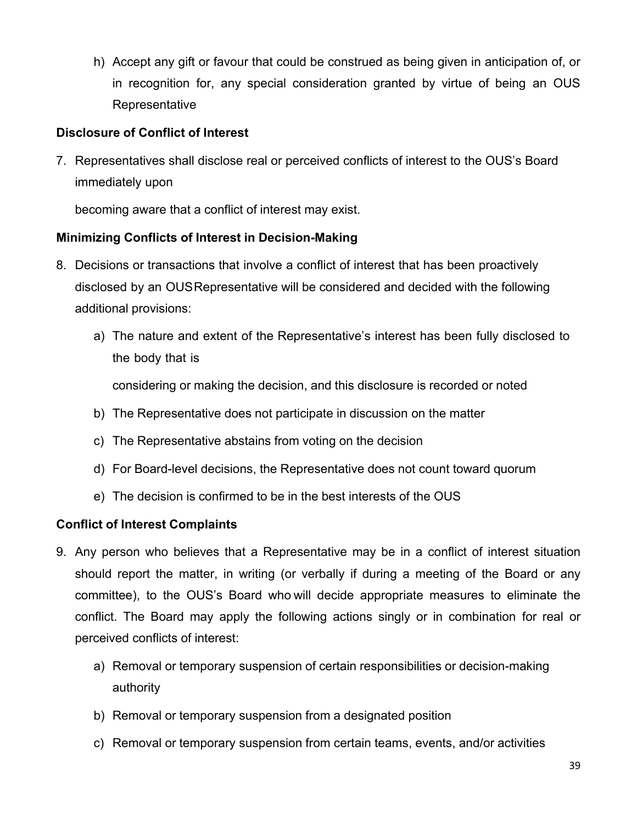h) Accept any gift or favour that could be construed as being given in anticipation of, or in recognition for, any special consideration granted by virtue of being an OUS **Representative** 

# **Disclosure of Conflict of Interest**

7. Representatives shall disclose real or perceived conflicts of interest to the OUS's Board immediately upon

becoming aware that a conflict of interest may exist.

# **Minimizing Conflicts of Interest in Decision-Making**

- 8. Decisions or transactions that involve a conflict of interest that has been proactively disclosed by an OUSRepresentative will be considered and decided with the following additional provisions:
	- a) The nature and extent of the Representative's interest has been fully disclosed to the body that is

considering or making the decision, and this disclosure is recorded or noted

- b) The Representative does not participate in discussion on the matter
- c) The Representative abstains from voting on the decision
- d) For Board-level decisions, the Representative does not count toward quorum
- e) The decision is confirmed to be in the best interests of the OUS

# **Conflict of Interest Complaints**

- 9. Any person who believes that a Representative may be in a conflict of interest situation should report the matter, in writing (or verbally if during a meeting of the Board or any committee), to the OUS's Board who will decide appropriate measures to eliminate the conflict. The Board may apply the following actions singly or in combination for real or perceived conflicts of interest:
	- a) Removal or temporary suspension of certain responsibilities or decision-making authority
	- b) Removal or temporary suspension from a designated position
	- c) Removal or temporary suspension from certain teams, events, and/or activities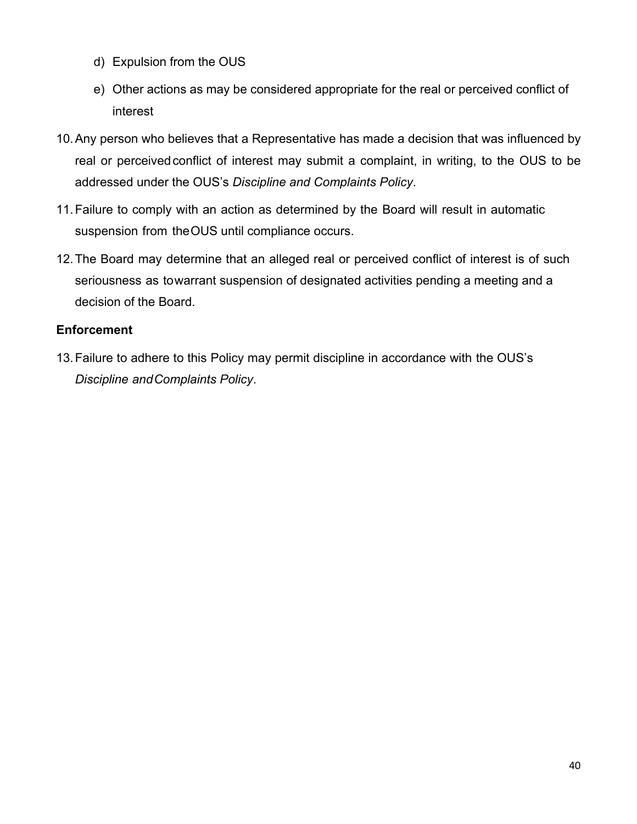- d) Expulsion from the OUS
- e) Other actions as may be considered appropriate for the real or perceived conflict of interest
- 10.Any person who believes that a Representative has made a decision that was influenced by real or perceivedconflict of interest may submit a complaint, in writing, to the OUS to be addressed under the OUS's *Discipline and Complaints Policy*.
- 11.Failure to comply with an action as determined by the Board will result in automatic suspension from theOUS until compliance occurs.
- 12.The Board may determine that an alleged real or perceived conflict of interest is of such seriousness as towarrant suspension of designated activities pending a meeting and a decision of the Board.

# **Enforcement**

13.Failure to adhere to this Policy may permit discipline in accordance with the OUS's *Discipline andComplaints Policy*.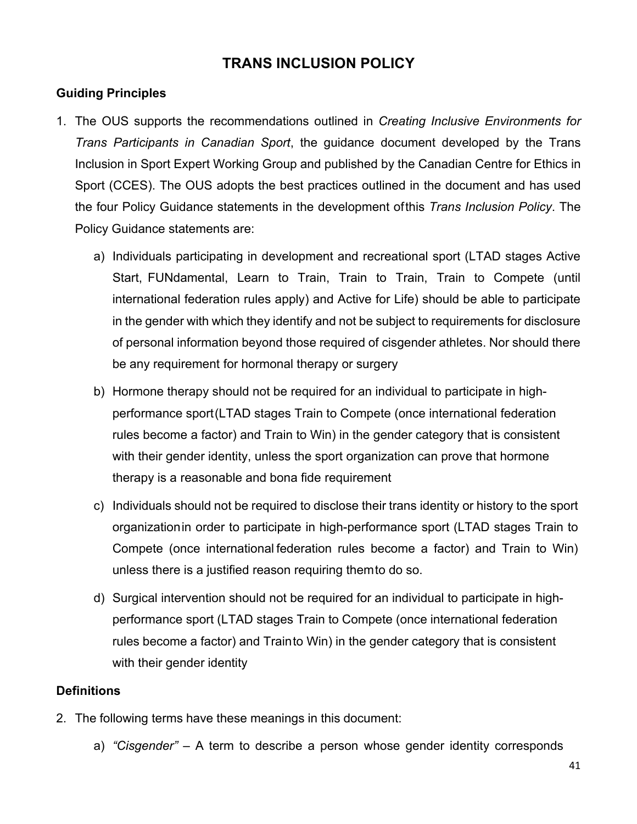# **TRANS INCLUSION POLICY**

# **Guiding Principles**

- 1. The OUS supports the recommendations outlined in *Creating Inclusive Environments for Trans Participants in Canadian Sport*, the guidance document developed by the Trans Inclusion in Sport Expert Working Group and published by the Canadian Centre for Ethics in Sport (CCES). The OUS adopts the best practices outlined in the document and has used the four Policy Guidance statements in the development ofthis *Trans Inclusion Policy*. The Policy Guidance statements are:
	- a) Individuals participating in development and recreational sport (LTAD stages Active Start, FUNdamental, Learn to Train, Train to Train, Train to Compete (until international federation rules apply) and Active for Life) should be able to participate in the gender with which they identify and not be subject to requirements for disclosure of personal information beyond those required of cisgender athletes. Nor should there be any requirement for hormonal therapy or surgery
	- b) Hormone therapy should not be required for an individual to participate in highperformance sport(LTAD stages Train to Compete (once international federation rules become a factor) and Train to Win) in the gender category that is consistent with their gender identity, unless the sport organization can prove that hormone therapy is a reasonable and bona fide requirement
	- c) Individuals should not be required to disclose their trans identity or history to the sport organizationin order to participate in high-performance sport (LTAD stages Train to Compete (once international federation rules become a factor) and Train to Win) unless there is a justified reason requiring themto do so.
	- d) Surgical intervention should not be required for an individual to participate in highperformance sport (LTAD stages Train to Compete (once international federation rules become a factor) and Trainto Win) in the gender category that is consistent with their gender identity

# **Definitions**

- 2. The following terms have these meanings in this document:
	- a) *"Cisgender"* A term to describe a person whose gender identity corresponds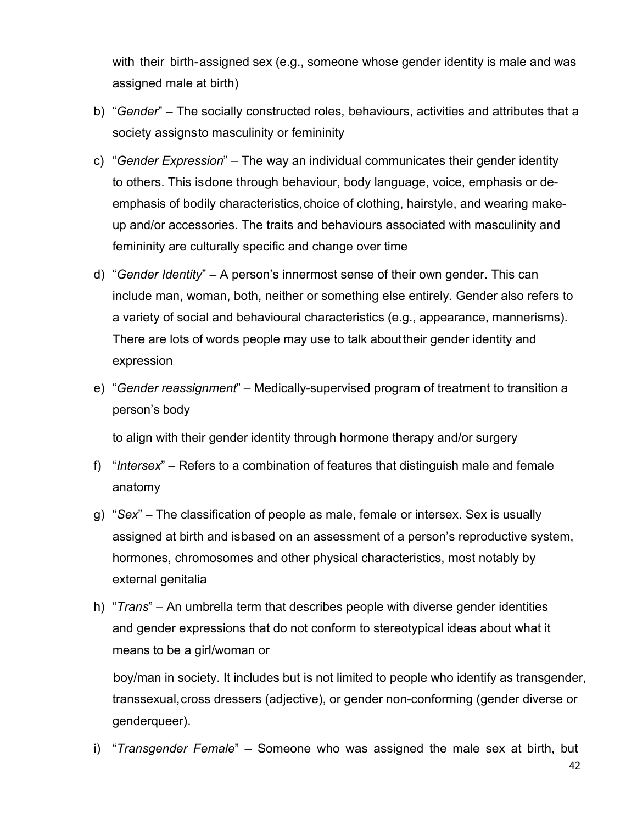with their birth-assigned sex (e.g., someone whose gender identity is male and was assigned male at birth)

- b) "*Gender*" The socially constructed roles, behaviours, activities and attributes that a society assignsto masculinity or femininity
- c) "*Gender Expression*" The way an individual communicates their gender identity to others. This isdone through behaviour, body language, voice, emphasis or deemphasis of bodily characteristics, choice of clothing, hairstyle, and wearing makeup and/or accessories. The traits and behaviours associated with masculinity and femininity are culturally specific and change over time
- d) "*Gender Identity*" A person's innermost sense of their own gender. This can include man, woman, both, neither or something else entirely. Gender also refers to a variety of social and behavioural characteristics (e.g., appearance, mannerisms). There are lots of words people may use to talk abouttheir gender identity and expression
- e) "*Gender reassignment*" Medically-supervised program of treatment to transition a person's body

to align with their gender identity through hormone therapy and/or surgery

- f) "*Intersex*" Refers to a combination of features that distinguish male and female anatomy
- g) "*Sex*" The classification of people as male, female or intersex. Sex is usually assigned at birth and isbased on an assessment of a person's reproductive system, hormones, chromosomes and other physical characteristics, most notably by external genitalia
- h) "*Trans*" An umbrella term that describes people with diverse gender identities and gender expressions that do not conform to stereotypical ideas about what it means to be a girl/woman or

boy/man in society. It includes but is not limited to people who identify as transgender, transsexual,cross dressers (adjective), or gender non-conforming (gender diverse or genderqueer).

i) "*Transgender Female*" – Someone who was assigned the male sex at birth, but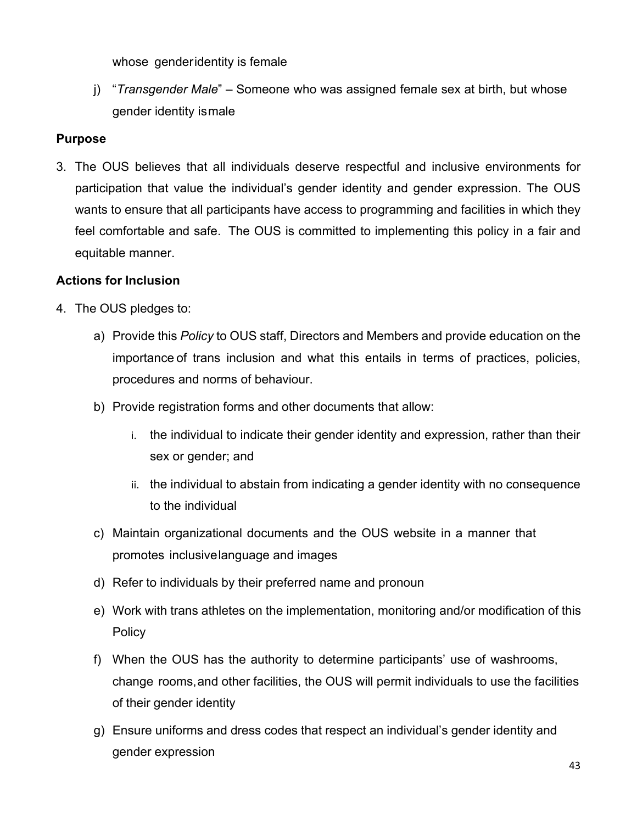whose genderidentity is female

j) "*Transgender Male*" – Someone who was assigned female sex at birth, but whose gender identity ismale

# **Purpose**

3. The OUS believes that all individuals deserve respectful and inclusive environments for participation that value the individual's gender identity and gender expression. The OUS wants to ensure that all participants have access to programming and facilities in which they feel comfortable and safe. The OUS is committed to implementing this policy in a fair and equitable manner.

# **Actions for Inclusion**

- 4. The OUS pledges to:
	- a) Provide this *Policy* to OUS staff, Directors and Members and provide education on the importance of trans inclusion and what this entails in terms of practices, policies, procedures and norms of behaviour.
	- b) Provide registration forms and other documents that allow:
		- i. the individual to indicate their gender identity and expression, rather than their sex or gender; and
		- ii. the individual to abstain from indicating a gender identity with no consequence to the individual
	- c) Maintain organizational documents and the OUS website in a manner that promotes inclusivelanguage and images
	- d) Refer to individuals by their preferred name and pronoun
	- e) Work with trans athletes on the implementation, monitoring and/or modification of this **Policy**
	- f) When the OUS has the authority to determine participants' use of washrooms, change rooms,and other facilities, the OUS will permit individuals to use the facilities of their gender identity
	- g) Ensure uniforms and dress codes that respect an individual's gender identity and gender expression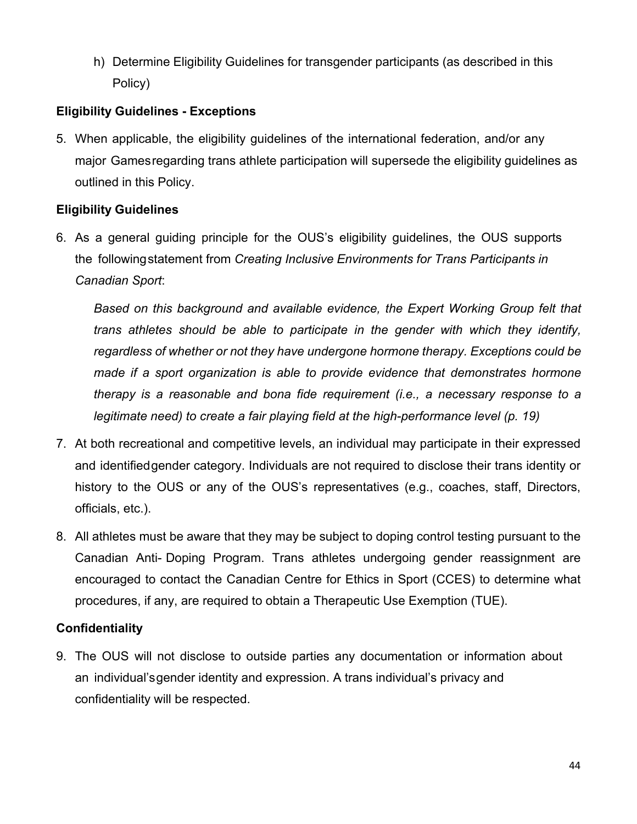h) Determine Eligibility Guidelines for transgender participants (as described in this Policy)

# **Eligibility Guidelines - Exceptions**

5. When applicable, the eligibility guidelines of the international federation, and/or any major Gamesregarding trans athlete participation will supersede the eligibility guidelines as outlined in this Policy.

# **Eligibility Guidelines**

6. As a general guiding principle for the OUS's eligibility guidelines, the OUS supports the followingstatement from *Creating Inclusive Environments for Trans Participants in Canadian Sport*:

Based on this background and available evidence, the Expert Working Group felt that *trans athletes should be able to participate in the gender with which they identify, regardless of whether or not they have undergone hormone therapy. Exceptions could be made if a sport organization is able to provide evidence that demonstrates hormone therapy is a reasonable and bona fide requirement (i.e., a necessary response to a legitimate need) to create a fair playing field at the high-performance level (p. 19)*

- 7. At both recreational and competitive levels, an individual may participate in their expressed and identifiedgender category. Individuals are not required to disclose their trans identity or history to the OUS or any of the OUS's representatives (e.g., coaches, staff, Directors, officials, etc.).
- 8. All athletes must be aware that they may be subject to doping control testing pursuant to the Canadian Anti- Doping Program. Trans athletes undergoing gender reassignment are encouraged to contact the Canadian Centre for Ethics in Sport (CCES) to determine what procedures, if any, are required to obtain a Therapeutic Use Exemption (TUE).

# **Confidentiality**

9. The OUS will not disclose to outside parties any documentation or information about an individual'sgender identity and expression. A trans individual's privacy and confidentiality will be respected.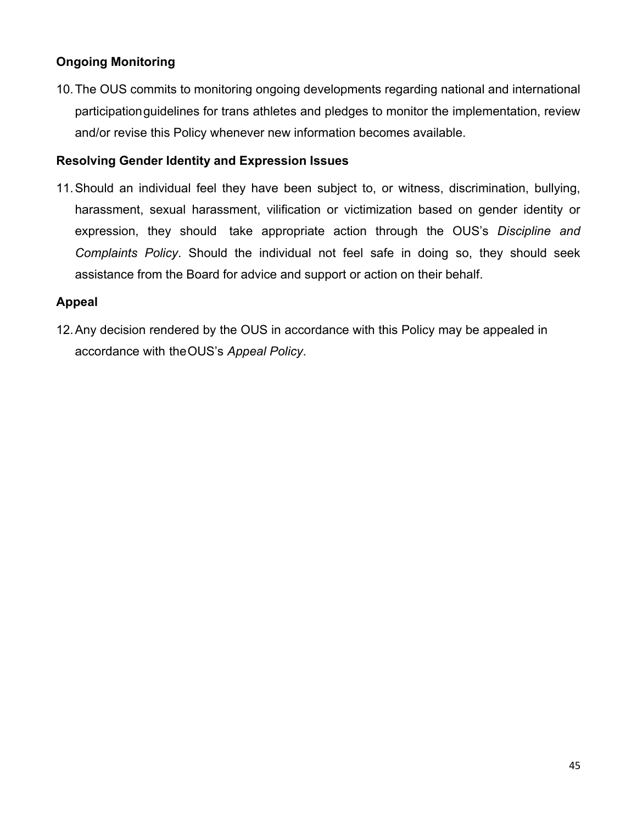# **Ongoing Monitoring**

10.The OUS commits to monitoring ongoing developments regarding national and international participationguidelines for trans athletes and pledges to monitor the implementation, review and/or revise this Policy whenever new information becomes available.

### **Resolving Gender Identity and Expression Issues**

11.Should an individual feel they have been subject to, or witness, discrimination, bullying, harassment, sexual harassment, vilification or victimization based on gender identity or expression, they should take appropriate action through the OUS's *Discipline and Complaints Policy*. Should the individual not feel safe in doing so, they should seek assistance from the Board for advice and support or action on their behalf.

### **Appeal**

12.Any decision rendered by the OUS in accordance with this Policy may be appealed in accordance with theOUS's *Appeal Policy*.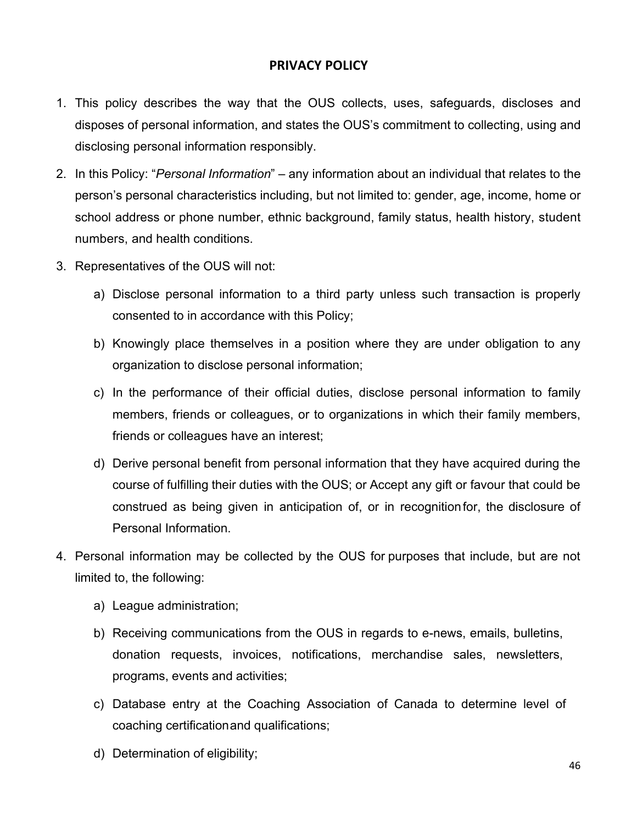# **PRIVACY POLICY**

- 1. This policy describes the way that the OUS collects, uses, safeguards, discloses and disposes of personal information, and states the OUS's commitment to collecting, using and disclosing personal information responsibly.
- 2. In this Policy: "*Personal Information*" any information about an individual that relates to the person's personal characteristics including, but not limited to: gender, age, income, home or school address or phone number, ethnic background, family status, health history, student numbers, and health conditions.
- 3. Representatives of the OUS will not:
	- a) Disclose personal information to a third party unless such transaction is properly consented to in accordance with this Policy;
	- b) Knowingly place themselves in a position where they are under obligation to any organization to disclose personal information;
	- c) In the performance of their official duties, disclose personal information to family members, friends or colleagues, or to organizations in which their family members, friends or colleagues have an interest;
	- d) Derive personal benefit from personal information that they have acquired during the course of fulfilling their duties with the OUS; or Accept any gift or favour that could be construed as being given in anticipation of, or in recognitionfor, the disclosure of Personal Information.
- 4. Personal information may be collected by the OUS for purposes that include, but are not limited to, the following:
	- a) League administration;
	- b) Receiving communications from the OUS in regards to e-news, emails, bulletins, donation requests, invoices, notifications, merchandise sales, newsletters, programs, events and activities;
	- c) Database entry at the Coaching Association of Canada to determine level of coaching certificationand qualifications;
	- d) Determination of eligibility;